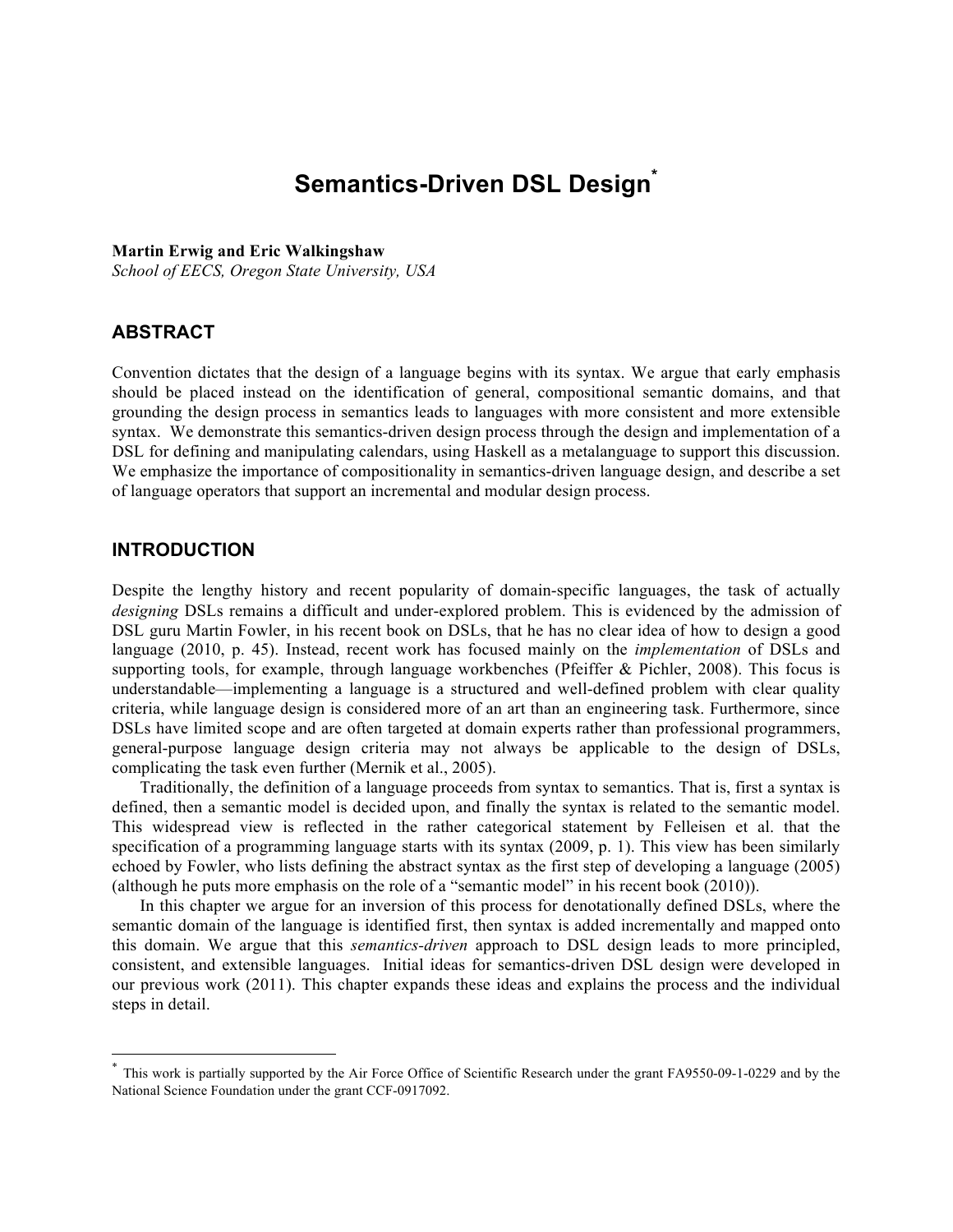# **Semantics-Driven DSL Design\***

#### **Martin Erwig and Eric Walkingshaw**

*School of EECS, Oregon State University, USA*

# **ABSTRACT**

Convention dictates that the design of a language begins with its syntax. We argue that early emphasis should be placed instead on the identification of general, compositional semantic domains, and that grounding the design process in semantics leads to languages with more consistent and more extensible syntax. We demonstrate this semantics-driven design process through the design and implementation of a DSL for defining and manipulating calendars, using Haskell as a metalanguage to support this discussion. We emphasize the importance of compositionality in semantics-driven language design, and describe a set of language operators that support an incremental and modular design process.

# **INTRODUCTION**

!!!!!!!!!!!!!!!!!!!!!!!!!!!!!!!!!!!!!!!!!!!!!!!!!!!!!!!

Despite the lengthy history and recent popularity of domain-specific languages, the task of actually *designing* DSLs remains a difficult and under-explored problem. This is evidenced by the admission of DSL guru Martin Fowler, in his recent book on DSLs, that he has no clear idea of how to design a good language (2010, p. 45). Instead, recent work has focused mainly on the *implementation* of DSLs and supporting tools, for example, through language workbenches (Pfeiffer & Pichler, 2008). This focus is understandable—implementing a language is a structured and well-defined problem with clear quality criteria, while language design is considered more of an art than an engineering task. Furthermore, since DSLs have limited scope and are often targeted at domain experts rather than professional programmers, general-purpose language design criteria may not always be applicable to the design of DSLs, complicating the task even further (Mernik et al., 2005).

Traditionally, the definition of a language proceeds from syntax to semantics. That is, first a syntax is defined, then a semantic model is decided upon, and finally the syntax is related to the semantic model. This widespread view is reflected in the rather categorical statement by Felleisen et al. that the specification of a programming language starts with its syntax (2009, p. 1). This view has been similarly echoed by Fowler, who lists defining the abstract syntax as the first step of developing a language (2005) (although he puts more emphasis on the role of a "semantic model" in his recent book (2010)).

In this chapter we argue for an inversion of this process for denotationally defined DSLs, where the semantic domain of the language is identified first, then syntax is added incrementally and mapped onto this domain. We argue that this *semantics-driven* approach to DSL design leads to more principled, consistent, and extensible languages. Initial ideas for semantics-driven DSL design were developed in our previous work (2011). This chapter expands these ideas and explains the process and the individual steps in detail.

This work is partially supported by the Air Force Office of Scientific Research under the grant FA9550-09-1-0229 and by the National Science Foundation under the grant CCF-0917092.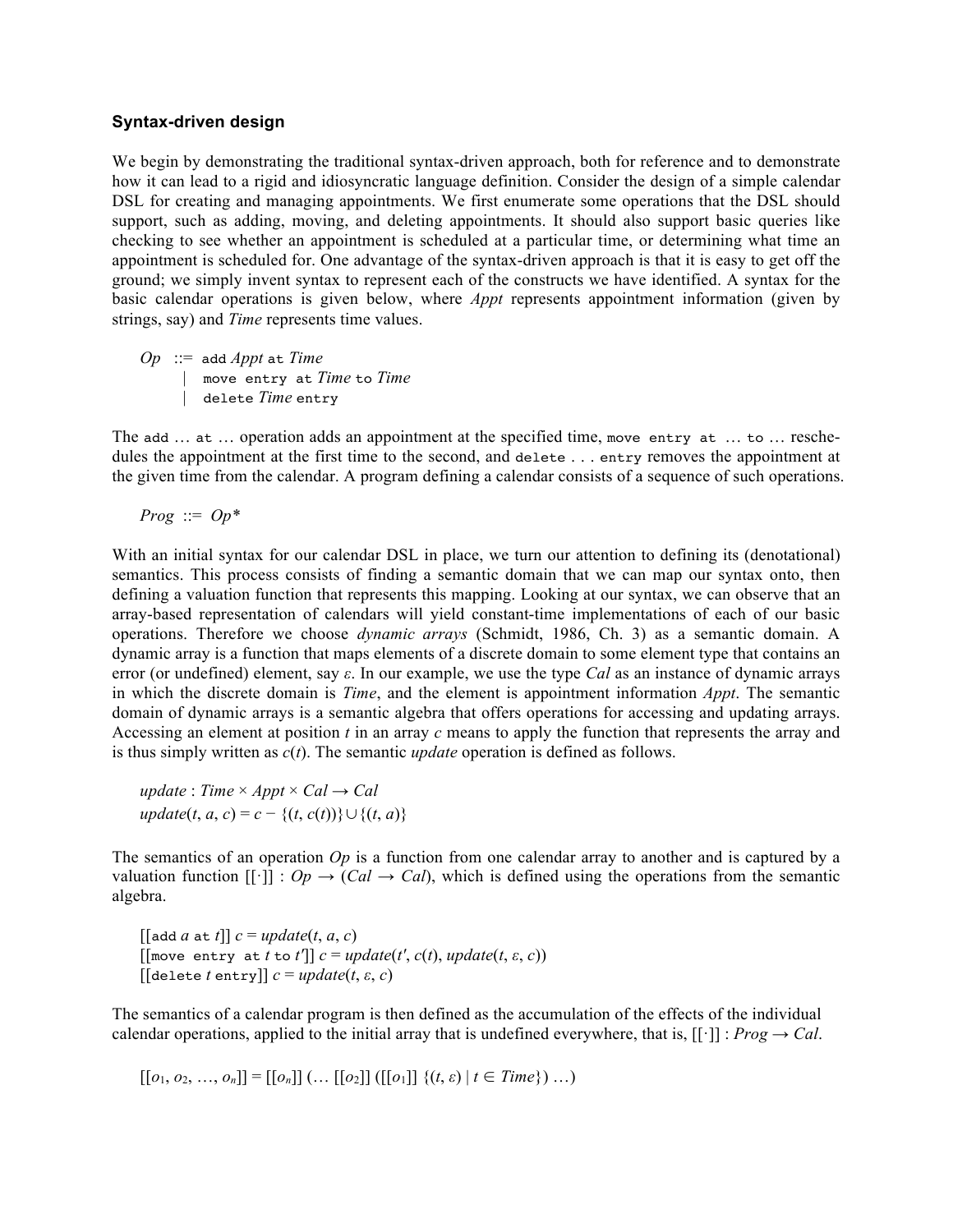#### **Syntax-driven design**

We begin by demonstrating the traditional syntax-driven approach, both for reference and to demonstrate how it can lead to a rigid and idiosyncratic language definition. Consider the design of a simple calendar DSL for creating and managing appointments. We first enumerate some operations that the DSL should support, such as adding, moving, and deleting appointments. It should also support basic queries like checking to see whether an appointment is scheduled at a particular time, or determining what time an appointment is scheduled for. One advantage of the syntax-driven approach is that it is easy to get off the ground; we simply invent syntax to represent each of the constructs we have identified. A syntax for the basic calendar operations is given below, where *Appt* represents appointment information (given by strings, say) and *Time* represents time values.

 $Op$  ::= add *Appt* at *Time*  | move entry at *Time* to *Time* | delete *Time* entry

The add … at … operation adds an appointment at the specified time, move entry at … to … reschedules the appointment at the first time to the second, and delete . . . entry removes the appointment at the given time from the calendar. A program defining a calendar consists of a sequence of such operations.

*Prog* ::= *Op\**

With an initial syntax for our calendar DSL in place, we turn our attention to defining its (denotational) semantics. This process consists of finding a semantic domain that we can map our syntax onto, then defining a valuation function that represents this mapping. Looking at our syntax, we can observe that an array-based representation of calendars will yield constant-time implementations of each of our basic operations. Therefore we choose *dynamic arrays* (Schmidt, 1986, Ch. 3) as a semantic domain. A dynamic array is a function that maps elements of a discrete domain to some element type that contains an error (or undefined) element, say *ε*. In our example, we use the type *Cal* as an instance of dynamic arrays in which the discrete domain is *Time*, and the element is appointment information *Appt*. The semantic domain of dynamic arrays is a semantic algebra that offers operations for accessing and updating arrays. Accessing an element at position *t* in an array *c* means to apply the function that represents the array and is thus simply written as *c*(*t*). The semantic *update* operation is defined as follows.

 $update: Time \times Appt \times Cal \rightarrow Cal$ *update*(*t*, *a*, *c*) = *c* − {(*t*, *c*(*t*))}∪ {(*t*, *a*)}

The semantics of an operation *Op* is a function from one calendar array to another and is captured by a valuation function  $[[\cdot]] : Op \to (Cal \to Cal)$ , which is defined using the operations from the semantic algebra.

 $\left[\begin{bmatrix} \text{add } a \text{ at } t \end{bmatrix} \right] c = update(t, a, c)$  $[\text{[move entry at } t \text{ to } t']]$   $c = update(t', c(t), update(t, \varepsilon, c))$  $[$ [delete *t* entry]]  $c = update(t, \varepsilon, c)$ 

The semantics of a calendar program is then defined as the accumulation of the effects of the individual calendar operations, applied to the initial array that is undefined everywhere, that is,  $[[\cdot]]$ : *Prog*  $\rightarrow$  *Cal*.

 $[[o_1, o_2, ..., o_n]] = [[o_n]] (... [[o_2]]([[o_1]] \{(t, \varepsilon) | t \in Time\}) ...)$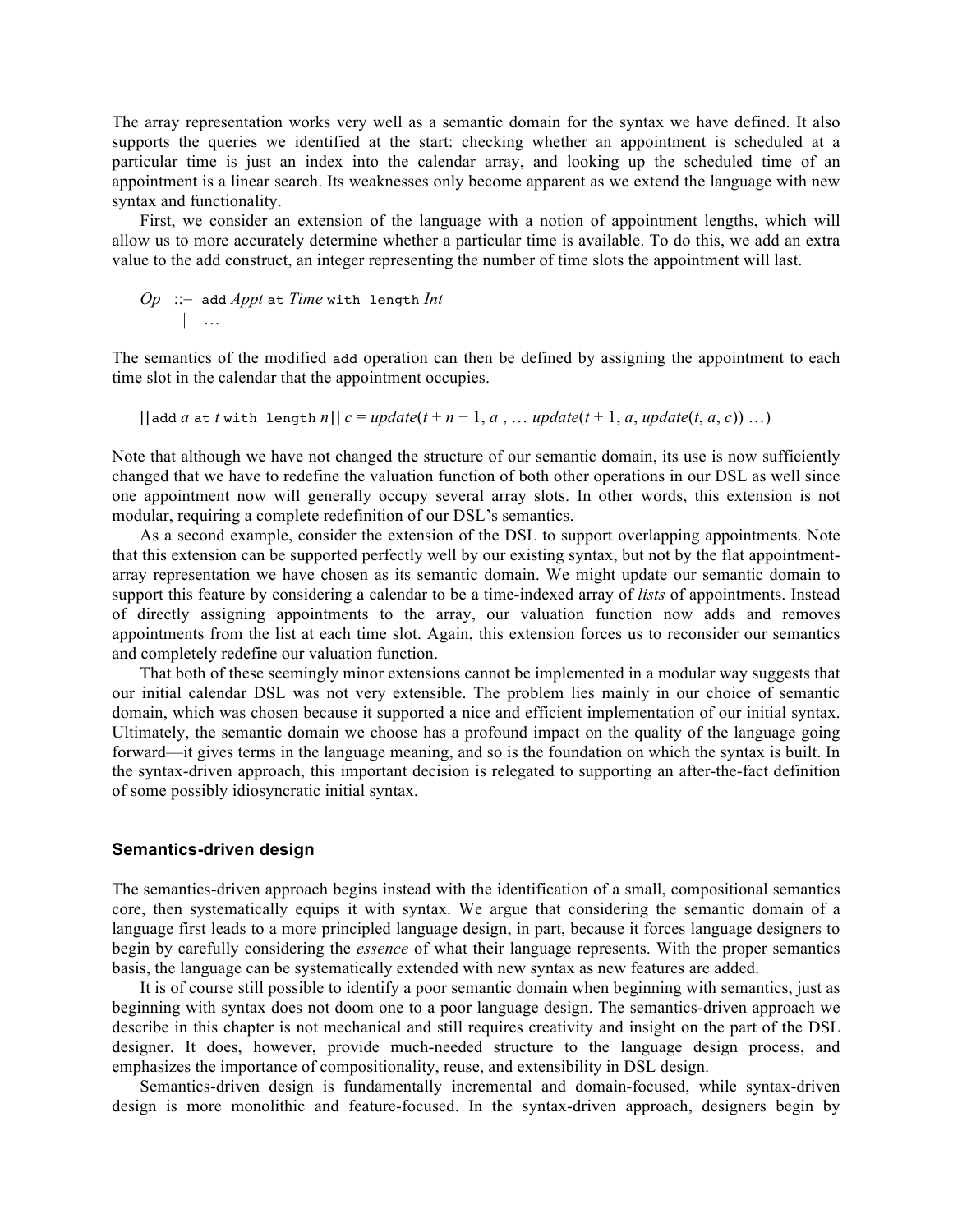The array representation works very well as a semantic domain for the syntax we have defined. It also supports the queries we identified at the start: checking whether an appointment is scheduled at a particular time is just an index into the calendar array, and looking up the scheduled time of an appointment is a linear search. Its weaknesses only become apparent as we extend the language with new syntax and functionality.

First, we consider an extension of the language with a notion of appointment lengths, which will allow us to more accurately determine whether a particular time is available. To do this, we add an extra value to the add construct, an integer representing the number of time slots the appointment will last.

$$
Op ::= add Appt at Time with length Int
$$
  
 
$$
\mid ...
$$

The semantics of the modified add operation can then be defined by assigning the appointment to each time slot in the calendar that the appointment occupies.

 $\left[\begin{bmatrix} \text{add } a \text{ at } t \text{ with } \text{ length } n \end{bmatrix} \right] c = update(t + n - 1, a, \dots \text{ update}(t + 1, a, \text{ update}(t, a, c)) \dots)$ 

Note that although we have not changed the structure of our semantic domain, its use is now sufficiently changed that we have to redefine the valuation function of both other operations in our DSL as well since one appointment now will generally occupy several array slots. In other words, this extension is not modular, requiring a complete redefinition of our DSL's semantics.

As a second example, consider the extension of the DSL to support overlapping appointments. Note that this extension can be supported perfectly well by our existing syntax, but not by the flat appointmentarray representation we have chosen as its semantic domain. We might update our semantic domain to support this feature by considering a calendar to be a time-indexed array of *lists* of appointments. Instead of directly assigning appointments to the array, our valuation function now adds and removes appointments from the list at each time slot. Again, this extension forces us to reconsider our semantics and completely redefine our valuation function.

That both of these seemingly minor extensions cannot be implemented in a modular way suggests that our initial calendar DSL was not very extensible. The problem lies mainly in our choice of semantic domain, which was chosen because it supported a nice and efficient implementation of our initial syntax. Ultimately, the semantic domain we choose has a profound impact on the quality of the language going forward—it gives terms in the language meaning, and so is the foundation on which the syntax is built. In the syntax-driven approach, this important decision is relegated to supporting an after-the-fact definition of some possibly idiosyncratic initial syntax.

#### **Semantics-driven design**

The semantics-driven approach begins instead with the identification of a small, compositional semantics core, then systematically equips it with syntax. We argue that considering the semantic domain of a language first leads to a more principled language design, in part, because it forces language designers to begin by carefully considering the *essence* of what their language represents. With the proper semantics basis, the language can be systematically extended with new syntax as new features are added.

It is of course still possible to identify a poor semantic domain when beginning with semantics, just as beginning with syntax does not doom one to a poor language design. The semantics-driven approach we describe in this chapter is not mechanical and still requires creativity and insight on the part of the DSL designer. It does, however, provide much-needed structure to the language design process, and emphasizes the importance of compositionality, reuse, and extensibility in DSL design.

Semantics-driven design is fundamentally incremental and domain-focused, while syntax-driven design is more monolithic and feature-focused. In the syntax-driven approach, designers begin by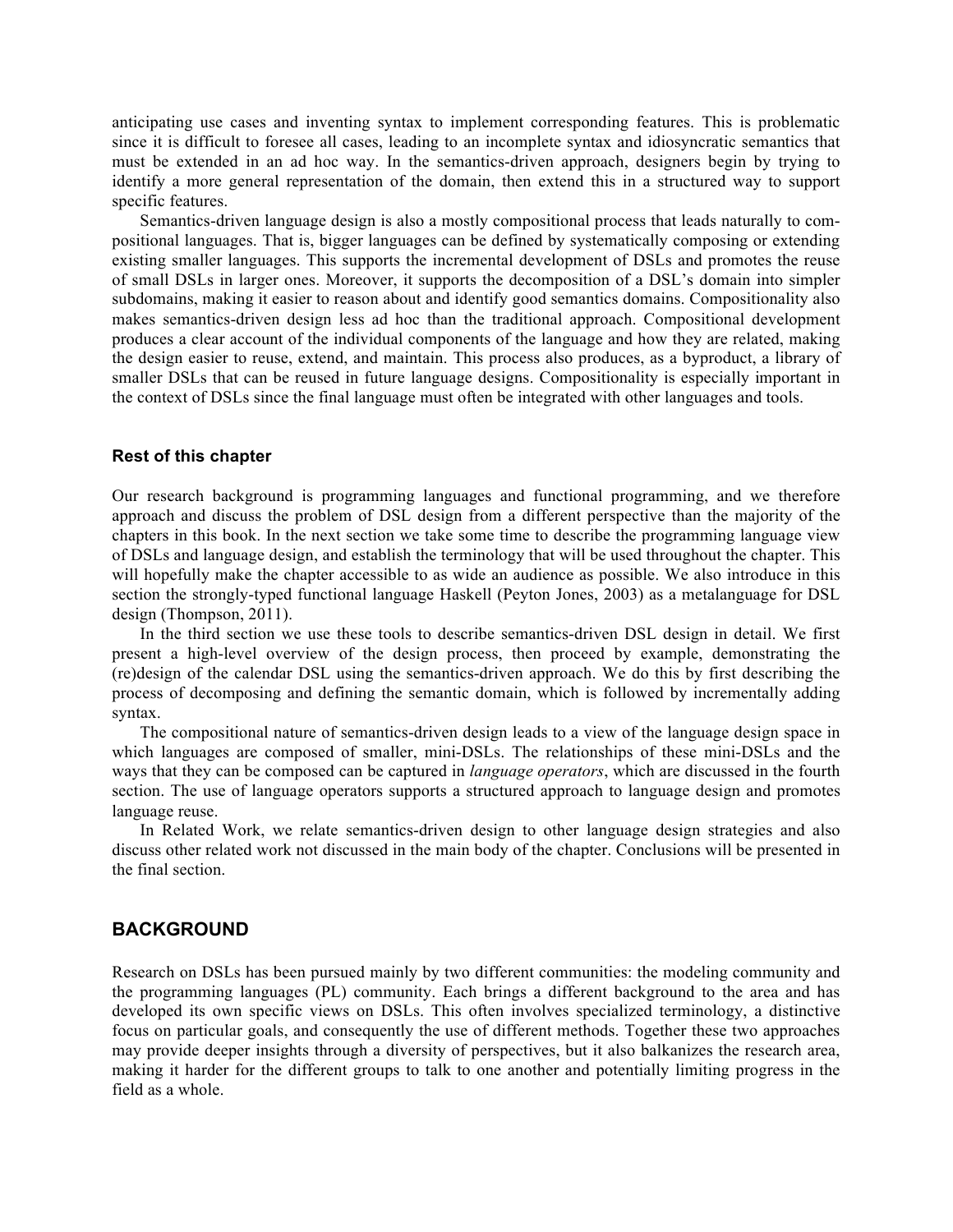anticipating use cases and inventing syntax to implement corresponding features. This is problematic since it is difficult to foresee all cases, leading to an incomplete syntax and idiosyncratic semantics that must be extended in an ad hoc way. In the semantics-driven approach, designers begin by trying to identify a more general representation of the domain, then extend this in a structured way to support specific features.

Semantics-driven language design is also a mostly compositional process that leads naturally to compositional languages. That is, bigger languages can be defined by systematically composing or extending existing smaller languages. This supports the incremental development of DSLs and promotes the reuse of small DSLs in larger ones. Moreover, it supports the decomposition of a DSL's domain into simpler subdomains, making it easier to reason about and identify good semantics domains. Compositionality also makes semantics-driven design less ad hoc than the traditional approach. Compositional development produces a clear account of the individual components of the language and how they are related, making the design easier to reuse, extend, and maintain. This process also produces, as a byproduct, a library of smaller DSLs that can be reused in future language designs. Compositionality is especially important in the context of DSLs since the final language must often be integrated with other languages and tools.

#### **Rest of this chapter**

Our research background is programming languages and functional programming, and we therefore approach and discuss the problem of DSL design from a different perspective than the majority of the chapters in this book. In the next section we take some time to describe the programming language view of DSLs and language design, and establish the terminology that will be used throughout the chapter. This will hopefully make the chapter accessible to as wide an audience as possible. We also introduce in this section the strongly-typed functional language Haskell (Peyton Jones, 2003) as a metalanguage for DSL design (Thompson, 2011).

In the third section we use these tools to describe semantics-driven DSL design in detail. We first present a high-level overview of the design process, then proceed by example, demonstrating the (re)design of the calendar DSL using the semantics-driven approach. We do this by first describing the process of decomposing and defining the semantic domain, which is followed by incrementally adding syntax.

The compositional nature of semantics-driven design leads to a view of the language design space in which languages are composed of smaller, mini-DSLs. The relationships of these mini-DSLs and the ways that they can be composed can be captured in *language operators*, which are discussed in the fourth section. The use of language operators supports a structured approach to language design and promotes language reuse.

In Related Work, we relate semantics-driven design to other language design strategies and also discuss other related work not discussed in the main body of the chapter. Conclusions will be presented in the final section.

#### **BACKGROUND**

Research on DSLs has been pursued mainly by two different communities: the modeling community and the programming languages (PL) community. Each brings a different background to the area and has developed its own specific views on DSLs. This often involves specialized terminology, a distinctive focus on particular goals, and consequently the use of different methods. Together these two approaches may provide deeper insights through a diversity of perspectives, but it also balkanizes the research area, making it harder for the different groups to talk to one another and potentially limiting progress in the field as a whole.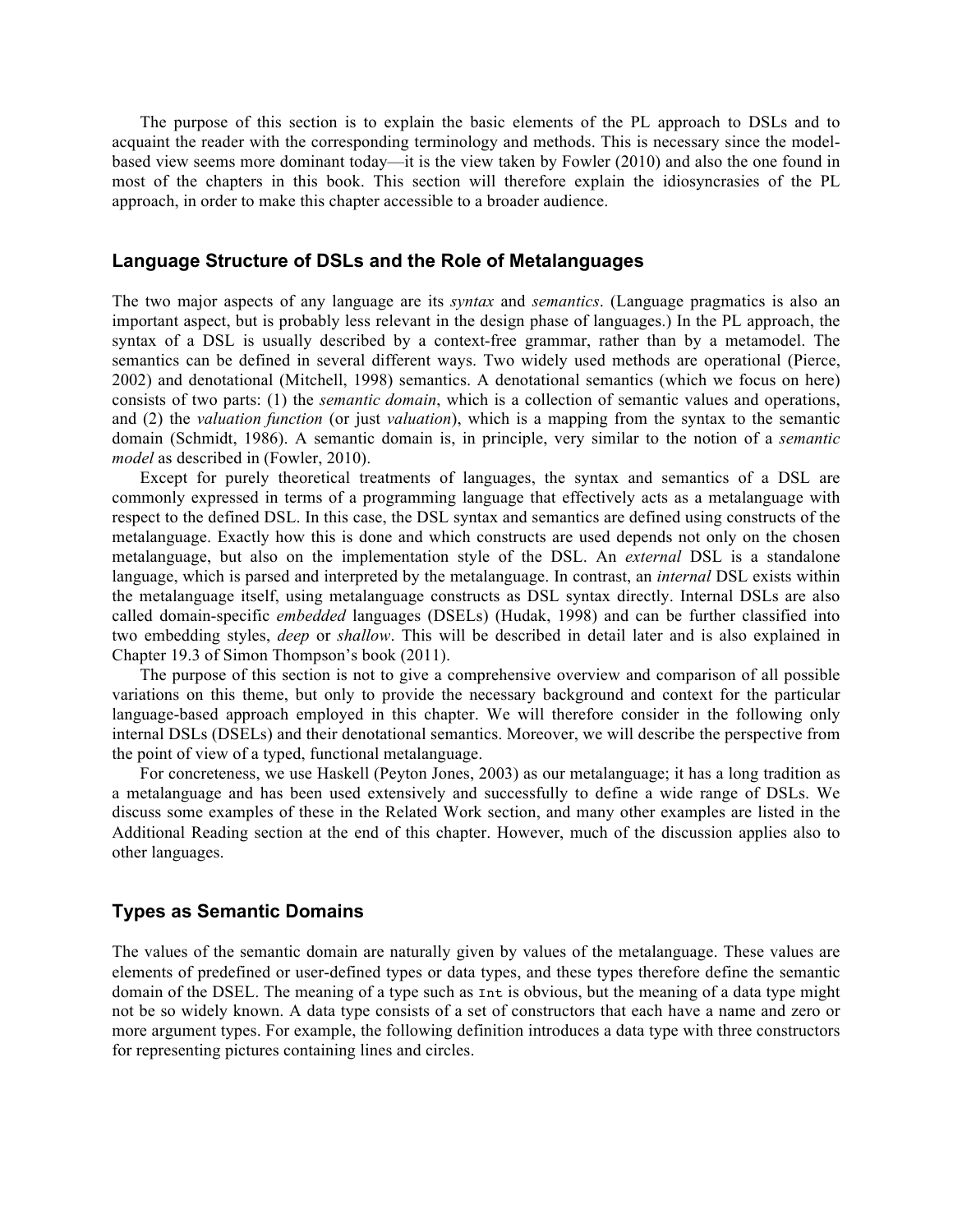The purpose of this section is to explain the basic elements of the PL approach to DSLs and to acquaint the reader with the corresponding terminology and methods. This is necessary since the modelbased view seems more dominant today—it is the view taken by Fowler (2010) and also the one found in most of the chapters in this book. This section will therefore explain the idiosyncrasies of the PL approach, in order to make this chapter accessible to a broader audience.

## **Language Structure of DSLs and the Role of Metalanguages**

The two major aspects of any language are its *syntax* and *semantics*. (Language pragmatics is also an important aspect, but is probably less relevant in the design phase of languages.) In the PL approach, the syntax of a DSL is usually described by a context-free grammar, rather than by a metamodel. The semantics can be defined in several different ways. Two widely used methods are operational (Pierce, 2002) and denotational (Mitchell, 1998) semantics. A denotational semantics (which we focus on here) consists of two parts: (1) the *semantic domain*, which is a collection of semantic values and operations, and (2) the *valuation function* (or just *valuation*), which is a mapping from the syntax to the semantic domain (Schmidt, 1986). A semantic domain is, in principle, very similar to the notion of a *semantic model* as described in (Fowler, 2010).

Except for purely theoretical treatments of languages, the syntax and semantics of a DSL are commonly expressed in terms of a programming language that effectively acts as a metalanguage with respect to the defined DSL. In this case, the DSL syntax and semantics are defined using constructs of the metalanguage. Exactly how this is done and which constructs are used depends not only on the chosen metalanguage, but also on the implementation style of the DSL. An *external* DSL is a standalone language, which is parsed and interpreted by the metalanguage. In contrast, an *internal* DSL exists within the metalanguage itself, using metalanguage constructs as DSL syntax directly. Internal DSLs are also called domain-specific *embedded* languages (DSELs) (Hudak, 1998) and can be further classified into two embedding styles, *deep* or *shallow*. This will be described in detail later and is also explained in Chapter 19.3 of Simon Thompson's book (2011).

The purpose of this section is not to give a comprehensive overview and comparison of all possible variations on this theme, but only to provide the necessary background and context for the particular language-based approach employed in this chapter. We will therefore consider in the following only internal DSLs (DSELs) and their denotational semantics. Moreover, we will describe the perspective from the point of view of a typed, functional metalanguage.

For concreteness, we use Haskell (Peyton Jones, 2003) as our metalanguage; it has a long tradition as a metalanguage and has been used extensively and successfully to define a wide range of DSLs. We discuss some examples of these in the Related Work section, and many other examples are listed in the Additional Reading section at the end of this chapter. However, much of the discussion applies also to other languages.

#### **Types as Semantic Domains**

The values of the semantic domain are naturally given by values of the metalanguage. These values are elements of predefined or user-defined types or data types, and these types therefore define the semantic domain of the DSEL. The meaning of a type such as Int is obvious, but the meaning of a data type might not be so widely known. A data type consists of a set of constructors that each have a name and zero or more argument types. For example, the following definition introduces a data type with three constructors for representing pictures containing lines and circles.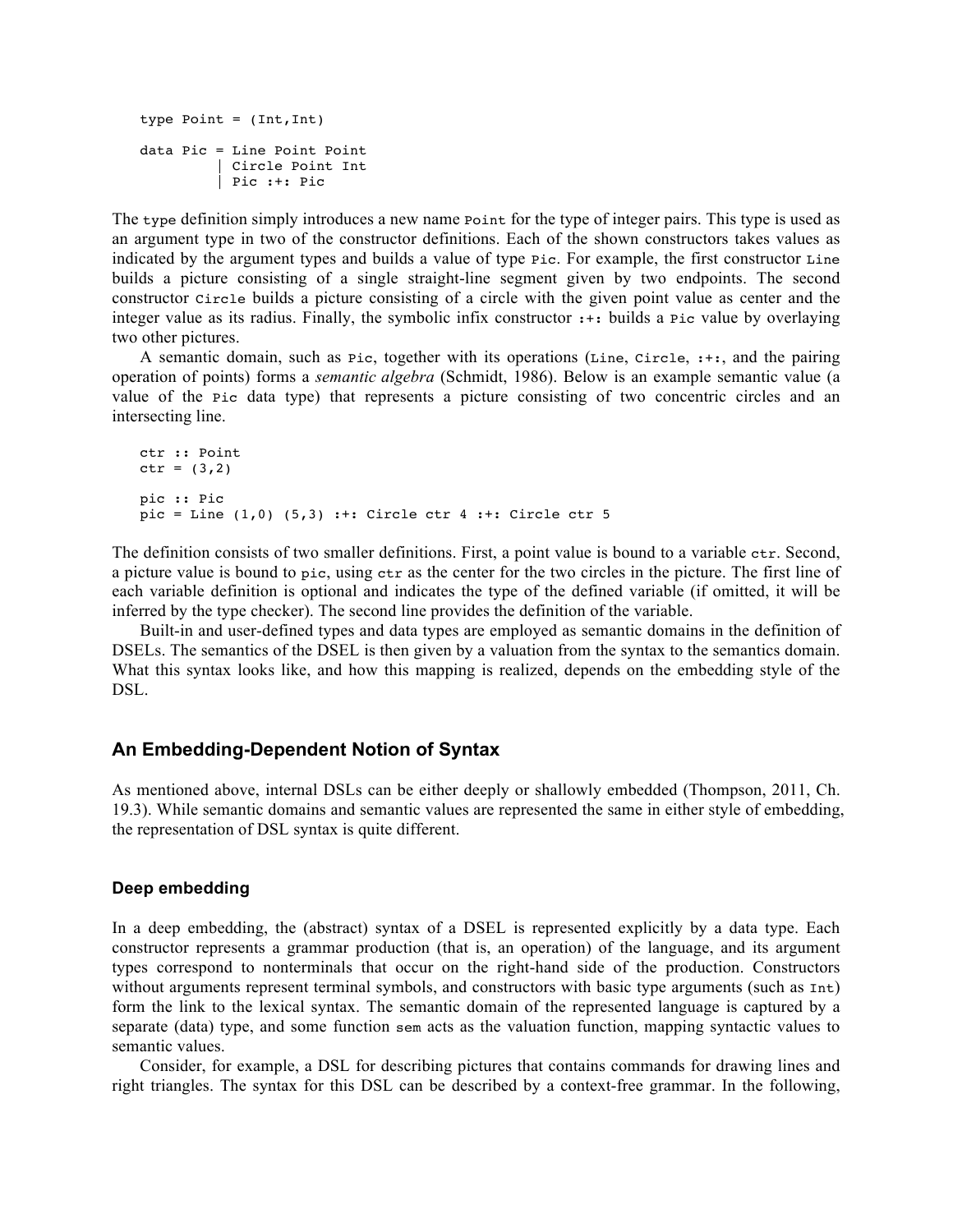```
type Point = (Int,Int)
data Pic = Line Point Point 
          | Circle Point Int
          | Pic :+: Pic
```
The type definition simply introduces a new name  $\phi$  point for the type of integer pairs. This type is used as an argument type in two of the constructor definitions. Each of the shown constructors takes values as indicated by the argument types and builds a value of type Pic. For example, the first constructor Line builds a picture consisting of a single straight-line segment given by two endpoints. The second constructor Circle builds a picture consisting of a circle with the given point value as center and the integer value as its radius. Finally, the symbolic infix constructor :+: builds a Pic value by overlaying two other pictures.

A semantic domain, such as Pic, together with its operations (Line, Circle, :+:, and the pairing operation of points) forms a *semantic algebra* (Schmidt, 1986). Below is an example semantic value (a value of the Pic data type) that represents a picture consisting of two concentric circles and an intersecting line.

```
ctr :: Point
ctr = (3, 2)pic :: Pic
pic = Line (1,0) (5,3) :+: Circle ctr 4 :+: Circle ctr 5
```
The definition consists of two smaller definitions. First, a point value is bound to a variable ctr. Second, a picture value is bound to pic, using ctr as the center for the two circles in the picture. The first line of each variable definition is optional and indicates the type of the defined variable (if omitted, it will be inferred by the type checker). The second line provides the definition of the variable.

Built-in and user-defined types and data types are employed as semantic domains in the definition of DSELs. The semantics of the DSEL is then given by a valuation from the syntax to the semantics domain. What this syntax looks like, and how this mapping is realized, depends on the embedding style of the DSL.

# **An Embedding-Dependent Notion of Syntax**

As mentioned above, internal DSLs can be either deeply or shallowly embedded (Thompson, 2011, Ch. 19.3). While semantic domains and semantic values are represented the same in either style of embedding, the representation of DSL syntax is quite different.

#### **Deep embedding**

In a deep embedding, the (abstract) syntax of a DSEL is represented explicitly by a data type. Each constructor represents a grammar production (that is, an operation) of the language, and its argument types correspond to nonterminals that occur on the right-hand side of the production. Constructors without arguments represent terminal symbols, and constructors with basic type arguments (such as  $Int$ ) form the link to the lexical syntax. The semantic domain of the represented language is captured by a separate (data) type, and some function sem acts as the valuation function, mapping syntactic values to semantic values.

Consider, for example, a DSL for describing pictures that contains commands for drawing lines and right triangles. The syntax for this DSL can be described by a context-free grammar. In the following,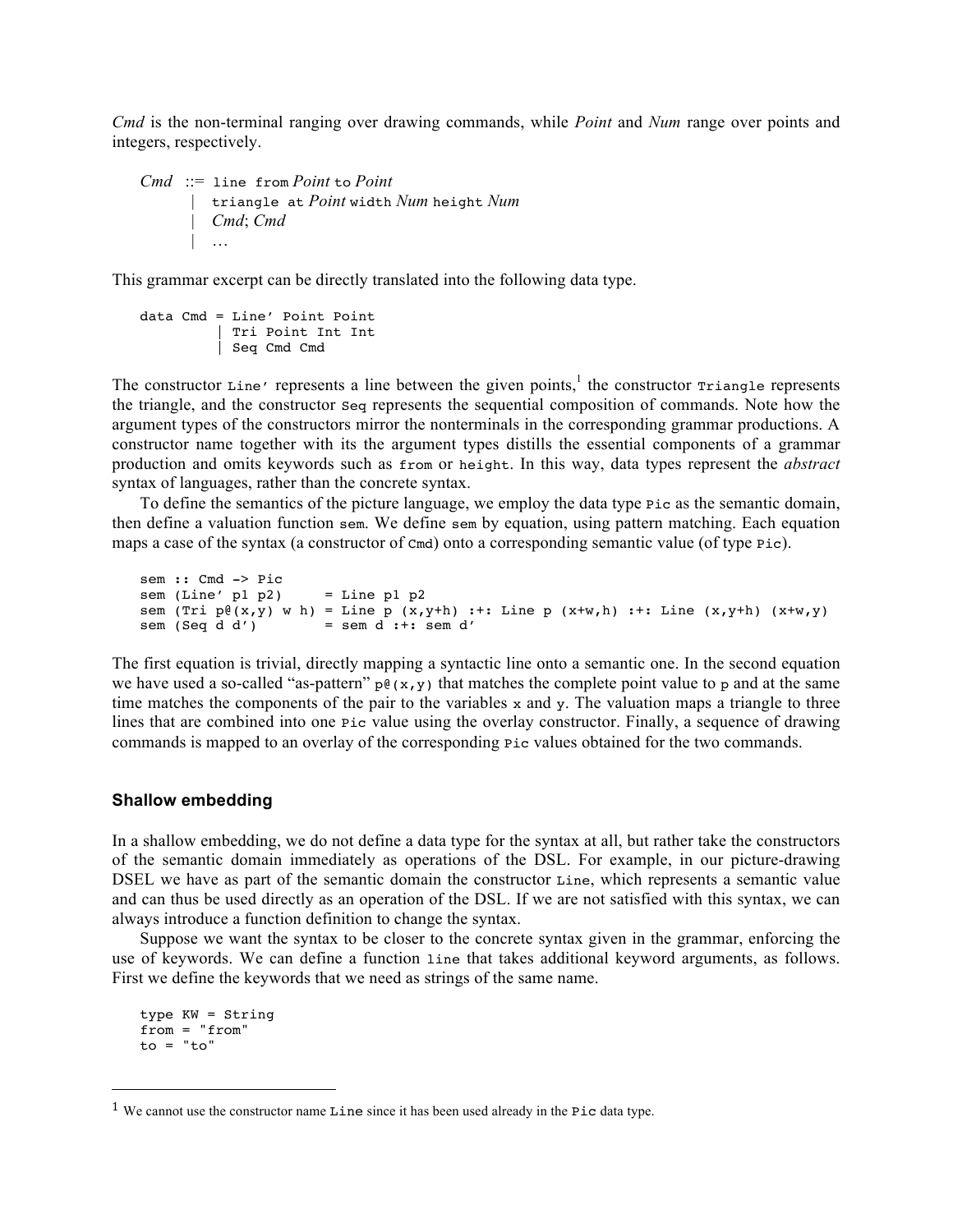*Cmd* is the non-terminal ranging over drawing commands, while *Point* and *Num* range over points and integers, respectively.

```
Cmd ::= line from Point to Point
       | triangle at Point width Num height Num
         | Cmd; Cmd
       | …
```
This grammar excerpt can be directly translated into the following data type.

```
data Cmd = Line' Point Point
          | Tri Point Int Int
          | Seq Cmd Cmd
```
The constructor  $\text{Line'}$  represents a line between the given points,<sup>1</sup> the constructor  $\text{Triangle }$  represents the triangle, and the constructor Seq represents the sequential composition of commands. Note how the argument types of the constructors mirror the nonterminals in the corresponding grammar productions. A constructor name together with its the argument types distills the essential components of a grammar production and omits keywords such as from or height. In this way, data types represent the *abstract* syntax of languages, rather than the concrete syntax.

To define the semantics of the picture language, we employ the data type Pic as the semantic domain, then define a valuation function sem. We define sem by equation, using pattern matching. Each equation maps a case of the syntax (a constructor of Cmd) onto a corresponding semantic value (of type Pic).

```
sem :: Cmd -> Pic
sem (Line' p1 p2) = Line p1 p2
sem (Tri p^e(x,y) w h) = Line p (x,y+h) :+: Line p (x+w,h) :+: Line (x,y+h) (x+w,y) sem (Seq d d') = sem d :+: sem d'
                          = sem d :+: sem d'
```
The first equation is trivial, directly mapping a syntactic line onto a semantic one. In the second equation we have used a so-called "as-pattern"  $p \notin (x,y)$  that matches the complete point value to p and at the same time matches the components of the pair to the variables  $x$  and  $y$ . The valuation maps a triangle to three lines that are combined into one Pic value using the overlay constructor. Finally, a sequence of drawing commands is mapped to an overlay of the corresponding Pic values obtained for the two commands.

#### **Shallow embedding**

In a shallow embedding, we do not define a data type for the syntax at all, but rather take the constructors of the semantic domain immediately as operations of the DSL. For example, in our picture-drawing DSEL we have as part of the semantic domain the constructor Line, which represents a semantic value and can thus be used directly as an operation of the DSL. If we are not satisfied with this syntax, we can always introduce a function definition to change the syntax.

Suppose we want the syntax to be closer to the concrete syntax given in the grammar, enforcing the use of keywords. We can define a function line that takes additional keyword arguments, as follows. First we define the keywords that we need as strings of the same name.

```
type KW = String
from = "from"
to = "to"
```
!!!!!!!!!!!!!!!!!!!!!!!!!!!!!!!!!!!!!!!!!!!!!!!!!!!!!!!

<sup>&</sup>lt;sup>1</sup> We cannot use the constructor name Line since it has been used already in the Pic data type.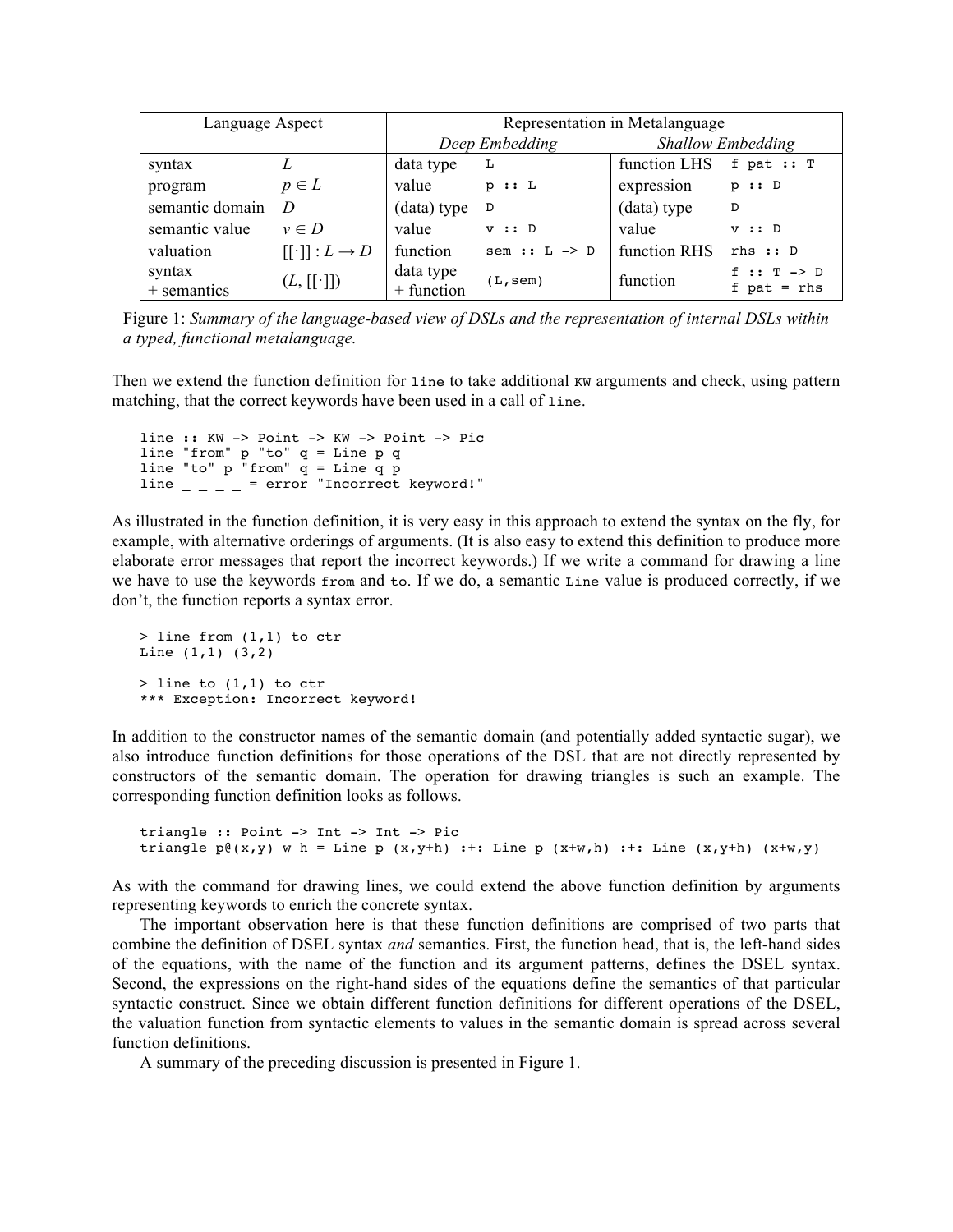| Language Aspect       |                      | Representation in Metalanguage |                         |                          |                                            |
|-----------------------|----------------------|--------------------------------|-------------------------|--------------------------|--------------------------------------------|
|                       |                      | Deep Embedding                 |                         | <b>Shallow Embedding</b> |                                            |
| syntax                |                      | data type                      | L                       | function LHS             | f pat $:: T$                               |
| program               | $p \in L$            | value                          | p :: L                  | expression               | p :: D                                     |
| semantic domain       | D                    | (data) type                    | D                       | (data) type              | D                                          |
| semantic value        | $v \in D$            | value                          | V :: D                  | value                    | v :: D                                     |
| valuation             | $[[\cdot]]: L \to D$ | function                       | sem $: L \rightarrow D$ | function RHS             | rhs :: D                                   |
| syntax<br>+ semantics | $(L, [[\cdot]])$     | data type<br>+ function        | (L,sem)                 | function                 | $f :: T \rightarrow D$<br>$f$ pat = $r$ hs |

Figure 1: *Summary of the language-based view of DSLs and the representation of internal DSLs within a typed, functional metalanguage.*

Then we extend the function definition for line to take additional KW arguments and check, using pattern matching, that the correct keywords have been used in a call of line.

```
line :: KW -> Point -> KW -> Point -> Pic
line "from" p "to" q = Line p q
line "to" p "from" q = Line q pline \angle \angle \angle \angle = error "Incorrect keyword!"
```
As illustrated in the function definition, it is very easy in this approach to extend the syntax on the fly, for example, with alternative orderings of arguments. (It is also easy to extend this definition to produce more elaborate error messages that report the incorrect keywords.) If we write a command for drawing a line we have to use the keywords from and to. If we do, a semantic Line value is produced correctly, if we don't, the function reports a syntax error.

> line from (1,1) to ctr Line (1,1) (3,2)  $>$  line to  $(1,1)$  to ctr \*\*\* Exception: Incorrect keyword!

In addition to the constructor names of the semantic domain (and potentially added syntactic sugar), we also introduce function definitions for those operations of the DSL that are not directly represented by constructors of the semantic domain. The operation for drawing triangles is such an example. The corresponding function definition looks as follows.

```
triangle :: Point -> Int -> Int -> Pic
triangle p\ell(x,y) w h = Line p (x,y+h) :+: Line p (x+w,h) :+: Line (x,y+h) (x+w,y)
```
As with the command for drawing lines, we could extend the above function definition by arguments representing keywords to enrich the concrete syntax.

The important observation here is that these function definitions are comprised of two parts that combine the definition of DSEL syntax *and* semantics. First, the function head, that is, the left-hand sides of the equations, with the name of the function and its argument patterns, defines the DSEL syntax. Second, the expressions on the right-hand sides of the equations define the semantics of that particular syntactic construct. Since we obtain different function definitions for different operations of the DSEL, the valuation function from syntactic elements to values in the semantic domain is spread across several function definitions.

A summary of the preceding discussion is presented in Figure 1.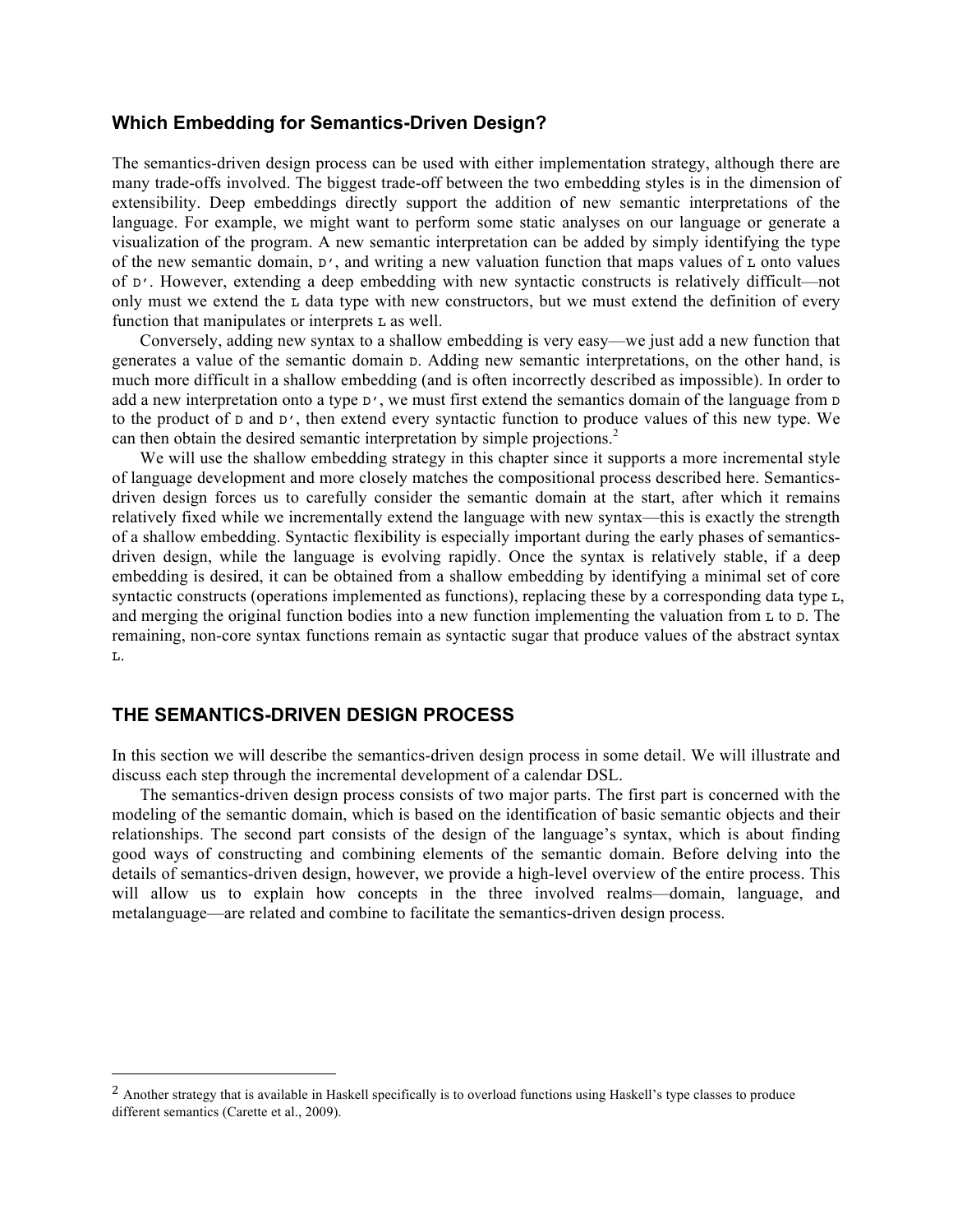# **Which Embedding for Semantics-Driven Design?**

The semantics-driven design process can be used with either implementation strategy, although there are many trade-offs involved. The biggest trade-off between the two embedding styles is in the dimension of extensibility. Deep embeddings directly support the addition of new semantic interpretations of the language. For example, we might want to perform some static analyses on our language or generate a visualization of the program. A new semantic interpretation can be added by simply identifying the type of the new semantic domain,  $D'$ , and writing a new valuation function that maps values of  $L$  onto values of D'. However, extending a deep embedding with new syntactic constructs is relatively difficult—not only must we extend the L data type with new constructors, but we must extend the definition of every function that manipulates or interprets L as well.

Conversely, adding new syntax to a shallow embedding is very easy—we just add a new function that generates a value of the semantic domain D. Adding new semantic interpretations, on the other hand, is much more difficult in a shallow embedding (and is often incorrectly described as impossible). In order to add a new interpretation onto a type  $D'$ , we must first extend the semantics domain of the language from  $D$ to the product of  $D$  and  $D'$ , then extend every syntactic function to produce values of this new type. We can then obtain the desired semantic interpretation by simple projections.<sup>2</sup>

We will use the shallow embedding strategy in this chapter since it supports a more incremental style of language development and more closely matches the compositional process described here. Semanticsdriven design forces us to carefully consider the semantic domain at the start, after which it remains relatively fixed while we incrementally extend the language with new syntax—this is exactly the strength of a shallow embedding. Syntactic flexibility is especially important during the early phases of semanticsdriven design, while the language is evolving rapidly. Once the syntax is relatively stable, if a deep embedding is desired, it can be obtained from a shallow embedding by identifying a minimal set of core syntactic constructs (operations implemented as functions), replacing these by a corresponding data type L, and merging the original function bodies into a new function implementing the valuation from L to D. The remaining, non-core syntax functions remain as syntactic sugar that produce values of the abstract syntax L.

# **THE SEMANTICS-DRIVEN DESIGN PROCESS**

!!!!!!!!!!!!!!!!!!!!!!!!!!!!!!!!!!!!!!!!!!!!!!!!!!!!!!!

In this section we will describe the semantics-driven design process in some detail. We will illustrate and discuss each step through the incremental development of a calendar DSL.

The semantics-driven design process consists of two major parts. The first part is concerned with the modeling of the semantic domain, which is based on the identification of basic semantic objects and their relationships. The second part consists of the design of the language's syntax, which is about finding good ways of constructing and combining elements of the semantic domain. Before delving into the details of semantics-driven design, however, we provide a high-level overview of the entire process. This will allow us to explain how concepts in the three involved realms—domain, language, and metalanguage—are related and combine to facilitate the semantics-driven design process.

<sup>&</sup>lt;sup>2</sup> Another strategy that is available in Haskell specifically is to overload functions using Haskell's type classes to produce different semantics (Carette et al., 2009).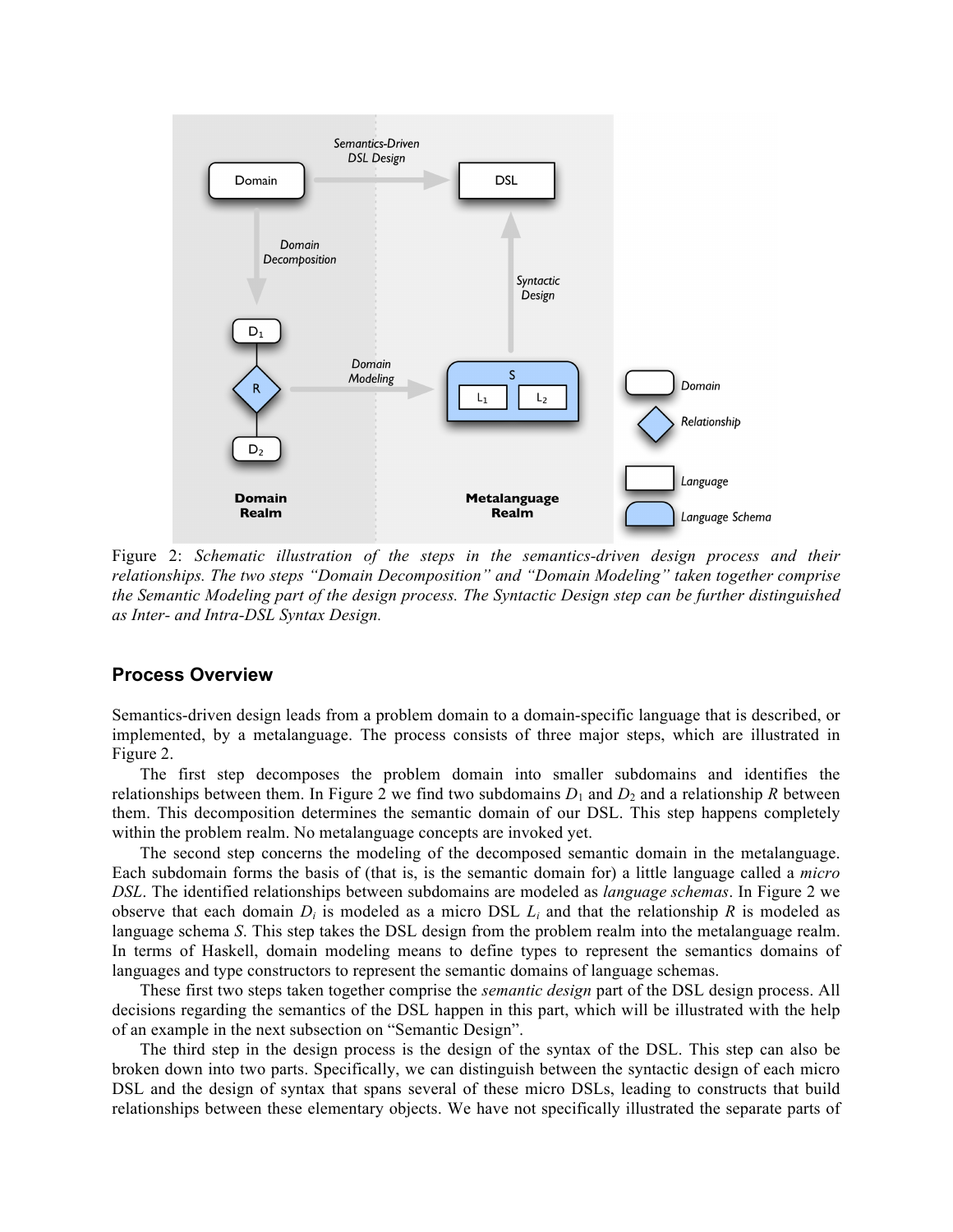

Figure 2: *Schematic illustration of the steps in the semantics-driven design process and their relationships. The two steps "Domain Decomposition" and "Domain Modeling" taken together comprise the Semantic Modeling part of the design process. The Syntactic Design step can be further distinguished as Inter- and Intra-DSL Syntax Design.*

## **Process Overview**

Semantics-driven design leads from a problem domain to a domain-specific language that is described, or implemented, by a metalanguage. The process consists of three major steps, which are illustrated in Figure 2.

The first step decomposes the problem domain into smaller subdomains and identifies the relationships between them. In Figure 2 we find two subdomains  $D_1$  and  $D_2$  and a relationship *R* between them. This decomposition determines the semantic domain of our DSL. This step happens completely within the problem realm. No metalanguage concepts are invoked yet.

The second step concerns the modeling of the decomposed semantic domain in the metalanguage. Each subdomain forms the basis of (that is, is the semantic domain for) a little language called a *micro DSL*. The identified relationships between subdomains are modeled as *language schemas*. In Figure 2 we observe that each domain  $D_i$  is modeled as a micro DSL  $L_i$  and that the relationship  $R$  is modeled as language schema *S*. This step takes the DSL design from the problem realm into the metalanguage realm. In terms of Haskell, domain modeling means to define types to represent the semantics domains of languages and type constructors to represent the semantic domains of language schemas.

These first two steps taken together comprise the *semantic design* part of the DSL design process. All decisions regarding the semantics of the DSL happen in this part, which will be illustrated with the help of an example in the next subsection on "Semantic Design".

The third step in the design process is the design of the syntax of the DSL. This step can also be broken down into two parts. Specifically, we can distinguish between the syntactic design of each micro DSL and the design of syntax that spans several of these micro DSLs, leading to constructs that build relationships between these elementary objects. We have not specifically illustrated the separate parts of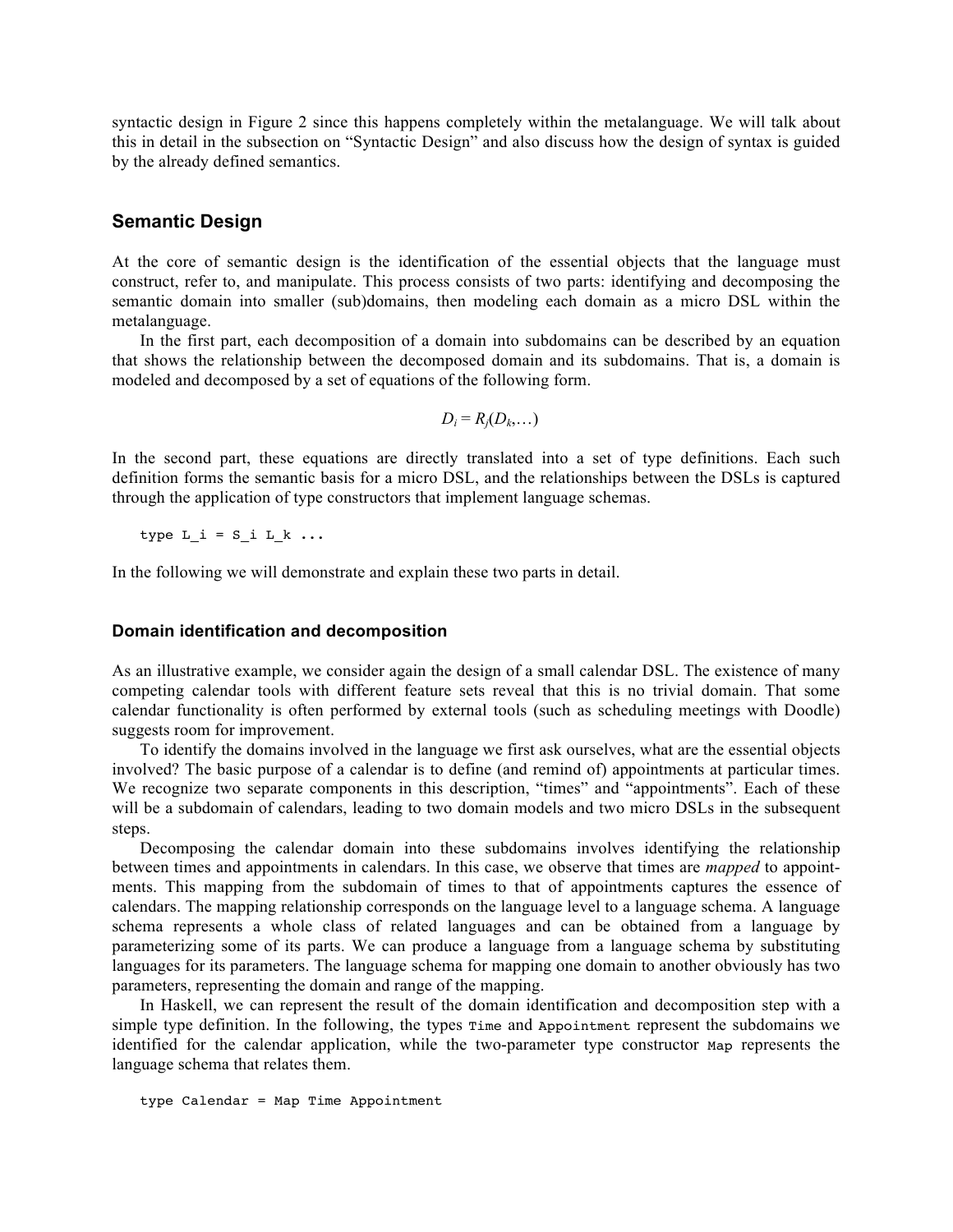syntactic design in Figure 2 since this happens completely within the metalanguage. We will talk about this in detail in the subsection on "Syntactic Design" and also discuss how the design of syntax is guided by the already defined semantics.

## **Semantic Design**

At the core of semantic design is the identification of the essential objects that the language must construct, refer to, and manipulate. This process consists of two parts: identifying and decomposing the semantic domain into smaller (sub)domains, then modeling each domain as a micro DSL within the metalanguage.

In the first part, each decomposition of a domain into subdomains can be described by an equation that shows the relationship between the decomposed domain and its subdomains. That is, a domain is modeled and decomposed by a set of equations of the following form.

$$
D_i = R_j(D_k,...)
$$

In the second part, these equations are directly translated into a set of type definitions. Each such definition forms the semantic basis for a micro DSL, and the relationships between the DSLs is captured through the application of type constructors that implement language schemas.

type  $L_i = S_i L_k ...$ 

In the following we will demonstrate and explain these two parts in detail.

#### **Domain identification and decomposition**

As an illustrative example, we consider again the design of a small calendar DSL. The existence of many competing calendar tools with different feature sets reveal that this is no trivial domain. That some calendar functionality is often performed by external tools (such as scheduling meetings with Doodle) suggests room for improvement.

To identify the domains involved in the language we first ask ourselves, what are the essential objects involved? The basic purpose of a calendar is to define (and remind of) appointments at particular times. We recognize two separate components in this description, "times" and "appointments". Each of these will be a subdomain of calendars, leading to two domain models and two micro DSLs in the subsequent steps.

Decomposing the calendar domain into these subdomains involves identifying the relationship between times and appointments in calendars. In this case, we observe that times are *mapped* to appointments. This mapping from the subdomain of times to that of appointments captures the essence of calendars. The mapping relationship corresponds on the language level to a language schema. A language schema represents a whole class of related languages and can be obtained from a language by parameterizing some of its parts. We can produce a language from a language schema by substituting languages for its parameters. The language schema for mapping one domain to another obviously has two parameters, representing the domain and range of the mapping.

In Haskell, we can represent the result of the domain identification and decomposition step with a simple type definition. In the following, the types Time and Appointment represent the subdomains we identified for the calendar application, while the two-parameter type constructor Map represents the language schema that relates them.

```
type Calendar = Map Time Appointment
```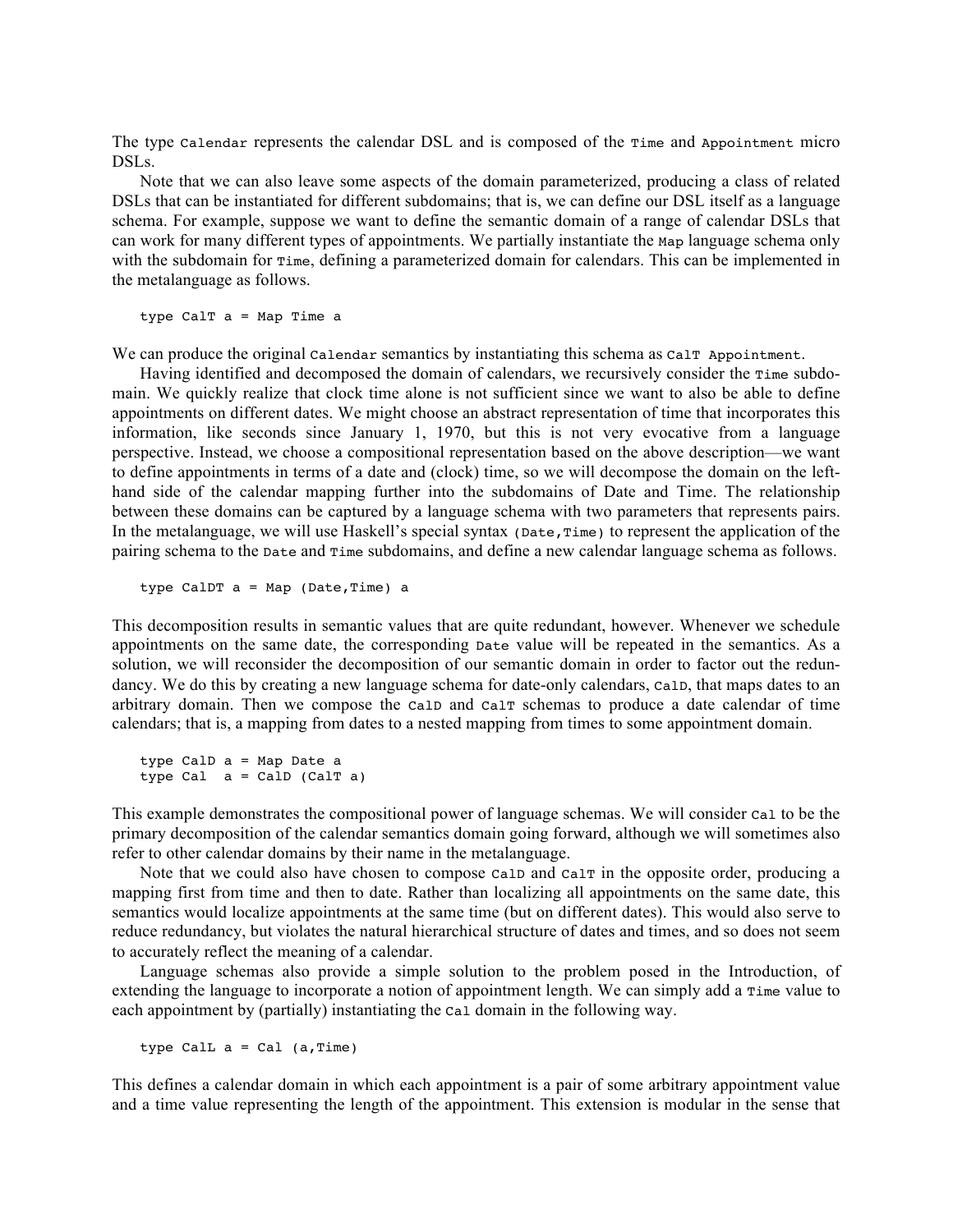The type Calendar represents the calendar DSL and is composed of the Time and Appointment micro DSLs.

Note that we can also leave some aspects of the domain parameterized, producing a class of related DSLs that can be instantiated for different subdomains; that is, we can define our DSL itself as a language schema. For example, suppose we want to define the semantic domain of a range of calendar DSLs that can work for many different types of appointments. We partially instantiate the Map language schema only with the subdomain for  $\text{Time}$ , defining a parameterized domain for calendars. This can be implemented in the metalanguage as follows.

type CalT a = Map Time a

We can produce the original calendar semantics by instantiating this schema as  $\text{caIT}\xspace$  Appointment.

Having identified and decomposed the domain of calendars, we recursively consider the Time subdomain. We quickly realize that clock time alone is not sufficient since we want to also be able to define appointments on different dates. We might choose an abstract representation of time that incorporates this information, like seconds since January 1, 1970, but this is not very evocative from a language perspective. Instead, we choose a compositional representation based on the above description—we want to define appointments in terms of a date and (clock) time, so we will decompose the domain on the lefthand side of the calendar mapping further into the subdomains of Date and Time. The relationship between these domains can be captured by a language schema with two parameters that represents pairs. In the metalanguage, we will use Haskell's special syntax (Date, Time) to represent the application of the pairing schema to the Date and Time subdomains, and define a new calendar language schema as follows.

type CalDT a = Map (Date,Time) a

This decomposition results in semantic values that are quite redundant, however. Whenever we schedule appointments on the same date, the corresponding Date value will be repeated in the semantics. As a solution, we will reconsider the decomposition of our semantic domain in order to factor out the redundancy. We do this by creating a new language schema for date-only calendars, CalD, that maps dates to an arbitrary domain. Then we compose the CalD and CalT schemas to produce a date calendar of time calendars; that is, a mapping from dates to a nested mapping from times to some appointment domain.

type CalD a = Map Date a type Cal  $a =$  CalD (CalT a)

This example demonstrates the compositional power of language schemas. We will consider Cal to be the primary decomposition of the calendar semantics domain going forward, although we will sometimes also refer to other calendar domains by their name in the metalanguage.

Note that we could also have chosen to compose calp and calf in the opposite order, producing a mapping first from time and then to date. Rather than localizing all appointments on the same date, this semantics would localize appointments at the same time (but on different dates). This would also serve to reduce redundancy, but violates the natural hierarchical structure of dates and times, and so does not seem to accurately reflect the meaning of a calendar.

Language schemas also provide a simple solution to the problem posed in the Introduction, of extending the language to incorporate a notion of appointment length. We can simply add a  $\tau$ ime value to each appointment by (partially) instantiating the Cal domain in the following way.

type CalL  $a = Cal$  (a, Time)

This defines a calendar domain in which each appointment is a pair of some arbitrary appointment value and a time value representing the length of the appointment. This extension is modular in the sense that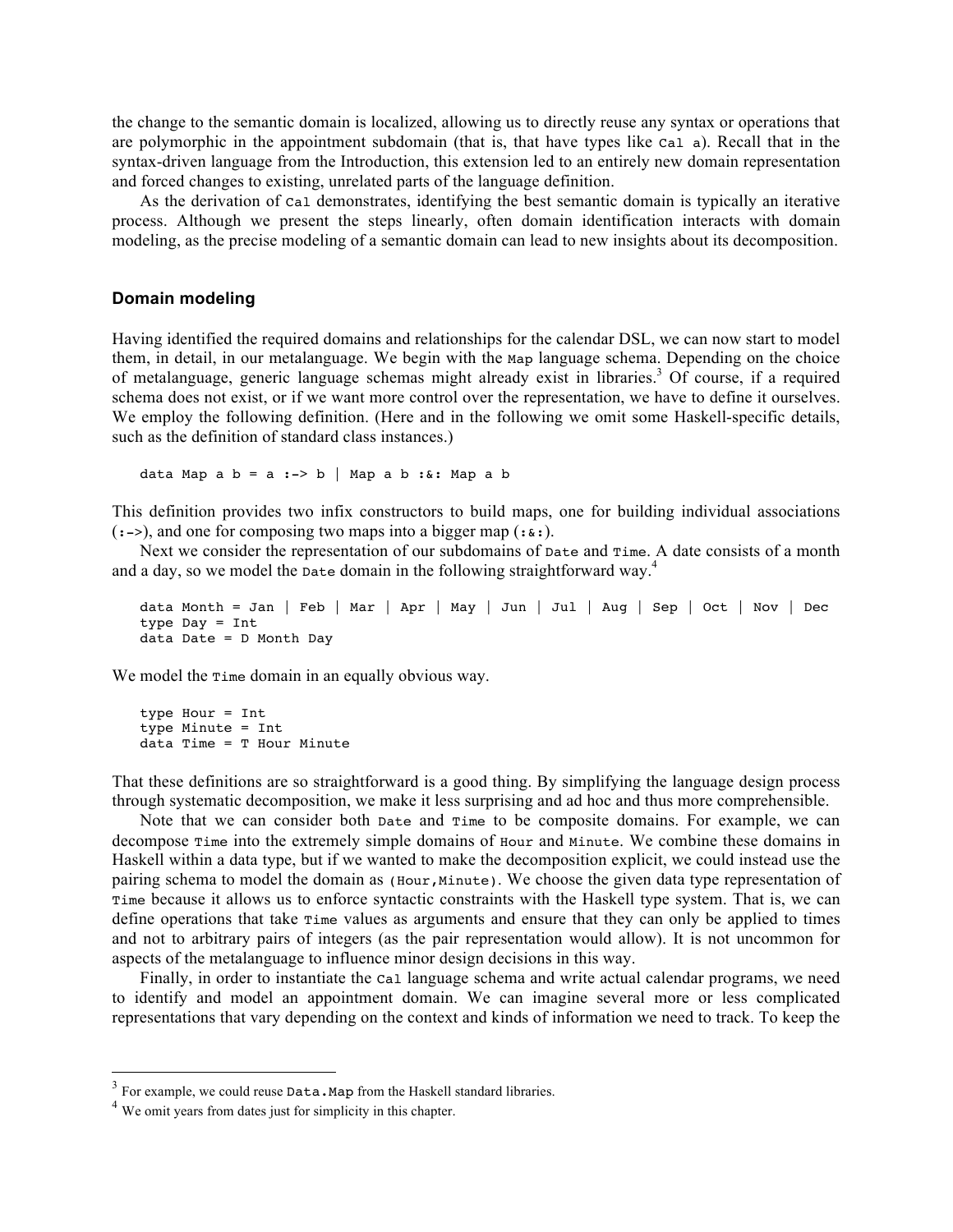the change to the semantic domain is localized, allowing us to directly reuse any syntax or operations that are polymorphic in the appointment subdomain (that is, that have types like Cal a). Recall that in the syntax-driven language from the Introduction, this extension led to an entirely new domain representation and forced changes to existing, unrelated parts of the language definition.

As the derivation of Cal demonstrates, identifying the best semantic domain is typically an iterative process. Although we present the steps linearly, often domain identification interacts with domain modeling, as the precise modeling of a semantic domain can lead to new insights about its decomposition.

## **Domain modeling**

Having identified the required domains and relationships for the calendar DSL, we can now start to model them, in detail, in our metalanguage. We begin with the Map language schema. Depending on the choice of metalanguage, generic language schemas might already exist in libraries.<sup>3</sup> Of course, if a required schema does not exist, or if we want more control over the representation, we have to define it ourselves. We employ the following definition. (Here and in the following we omit some Haskell-specific details, such as the definition of standard class instances.)

data Map a  $b = a :-> b |$  Map a b : &: Map a b

This definition provides two infix constructors to build maps, one for building individual associations  $(:-)$ , and one for composing two maps into a bigger map  $(:...)$ .

Next we consider the representation of our subdomains of Date and Time. A date consists of a month and a day, so we model the Date domain in the following straightforward way.<sup>4</sup>

```
data Month = Jan | Feb | Mar | Apr | May | Jun | Jul | Aug | Sep | Oct | Nov | Dec
type Day = Int
data Date = D Month Day
```
We model the  $\text{Time domain}$  in an equally obvious way.

```
type Hour = Int
type Minute = Int
data Time = T Hour Minute
```
That these definitions are so straightforward is a good thing. By simplifying the language design process through systematic decomposition, we make it less surprising and ad hoc and thus more comprehensible.

Note that we can consider both Date and Time to be composite domains. For example, we can decompose Time into the extremely simple domains of Hour and Minute. We combine these domains in Haskell within a data type, but if we wanted to make the decomposition explicit, we could instead use the pairing schema to model the domain as (Hour,Minute). We choose the given data type representation of Time because it allows us to enforce syntactic constraints with the Haskell type system. That is, we can define operations that take Time values as arguments and ensure that they can only be applied to times and not to arbitrary pairs of integers (as the pair representation would allow). It is not uncommon for aspects of the metalanguage to influence minor design decisions in this way.

Finally, in order to instantiate the Cal language schema and write actual calendar programs, we need to identify and model an appointment domain. We can imagine several more or less complicated representations that vary depending on the context and kinds of information we need to track. To keep the

!!!!!!!!!!!!!!!!!!!!!!!!!!!!!!!!!!!!!!!!!!!!!!!!!!!!!!!

<sup>&</sup>lt;sup>3</sup> For example, we could reuse Data.Map from the Haskell standard libraries.

<sup>&</sup>lt;sup>4</sup> We omit years from dates just for simplicity in this chapter.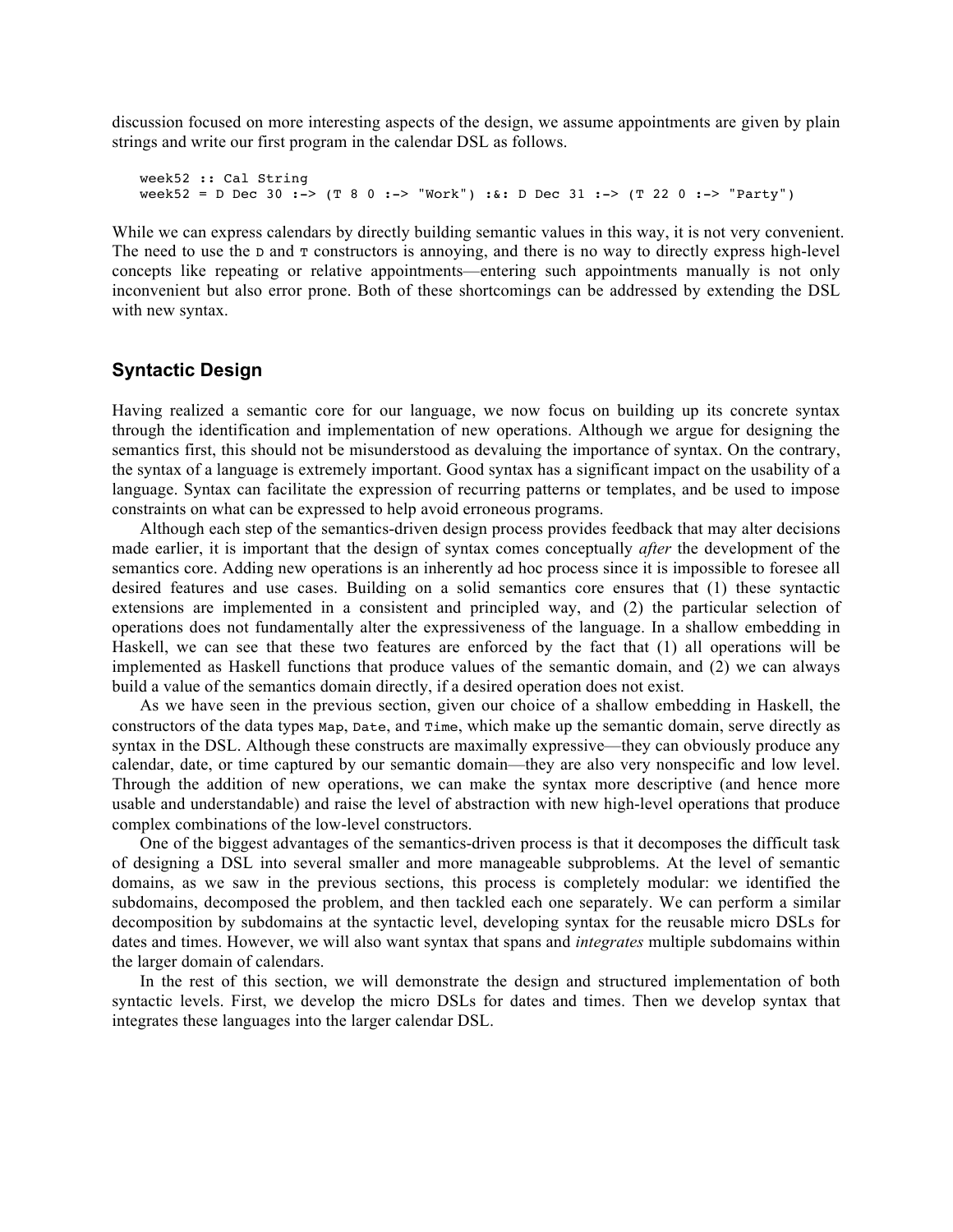discussion focused on more interesting aspects of the design, we assume appointments are given by plain strings and write our first program in the calendar DSL as follows.

week52 :: Cal String week52 = D Dec 30 :-> (T 8 0 :-> "Work") :&: D Dec 31 :-> (T 22 0 :-> "Party")

While we can express calendars by directly building semantic values in this way, it is not very convenient. The need to use the D and T constructors is annoying, and there is no way to directly express high-level concepts like repeating or relative appointments—entering such appointments manually is not only inconvenient but also error prone. Both of these shortcomings can be addressed by extending the DSL with new syntax.

#### **Syntactic Design**

Having realized a semantic core for our language, we now focus on building up its concrete syntax through the identification and implementation of new operations. Although we argue for designing the semantics first, this should not be misunderstood as devaluing the importance of syntax. On the contrary, the syntax of a language is extremely important. Good syntax has a significant impact on the usability of a language. Syntax can facilitate the expression of recurring patterns or templates, and be used to impose constraints on what can be expressed to help avoid erroneous programs.

Although each step of the semantics-driven design process provides feedback that may alter decisions made earlier, it is important that the design of syntax comes conceptually *after* the development of the semantics core. Adding new operations is an inherently ad hoc process since it is impossible to foresee all desired features and use cases. Building on a solid semantics core ensures that (1) these syntactic extensions are implemented in a consistent and principled way, and (2) the particular selection of operations does not fundamentally alter the expressiveness of the language. In a shallow embedding in Haskell, we can see that these two features are enforced by the fact that (1) all operations will be implemented as Haskell functions that produce values of the semantic domain, and (2) we can always build a value of the semantics domain directly, if a desired operation does not exist.

As we have seen in the previous section, given our choice of a shallow embedding in Haskell, the constructors of the data types Map, Date, and Time, which make up the semantic domain, serve directly as syntax in the DSL. Although these constructs are maximally expressive—they can obviously produce any calendar, date, or time captured by our semantic domain—they are also very nonspecific and low level. Through the addition of new operations, we can make the syntax more descriptive (and hence more usable and understandable) and raise the level of abstraction with new high-level operations that produce complex combinations of the low-level constructors.

One of the biggest advantages of the semantics-driven process is that it decomposes the difficult task of designing a DSL into several smaller and more manageable subproblems. At the level of semantic domains, as we saw in the previous sections, this process is completely modular: we identified the subdomains, decomposed the problem, and then tackled each one separately. We can perform a similar decomposition by subdomains at the syntactic level, developing syntax for the reusable micro DSLs for dates and times. However, we will also want syntax that spans and *integrates* multiple subdomains within the larger domain of calendars.

In the rest of this section, we will demonstrate the design and structured implementation of both syntactic levels. First, we develop the micro DSLs for dates and times. Then we develop syntax that integrates these languages into the larger calendar DSL.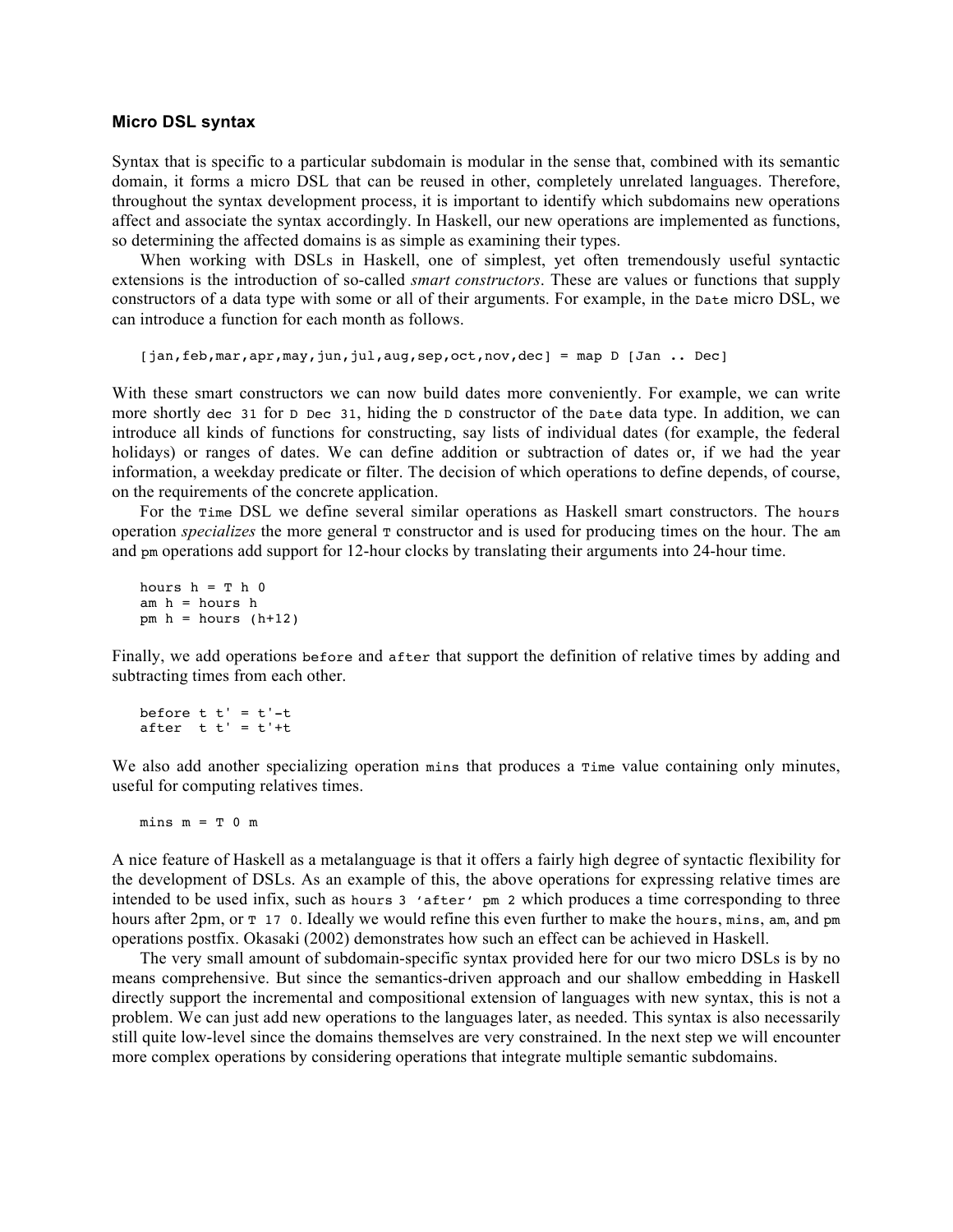#### **Micro DSL syntax**

Syntax that is specific to a particular subdomain is modular in the sense that, combined with its semantic domain, it forms a micro DSL that can be reused in other, completely unrelated languages. Therefore, throughout the syntax development process, it is important to identify which subdomains new operations affect and associate the syntax accordingly. In Haskell, our new operations are implemented as functions, so determining the affected domains is as simple as examining their types.

When working with DSLs in Haskell, one of simplest, yet often tremendously useful syntactic extensions is the introduction of so-called *smart constructors*. These are values or functions that supply constructors of a data type with some or all of their arguments. For example, in the Date micro DSL, we can introduce a function for each month as follows.

```
[jan,feb,mar,apr,may,jun,jul,aug,sep,oct,nov,dec] = map D [Jan .. Dec]
```
With these smart constructors we can now build dates more conveniently. For example, we can write more shortly dec 31 for D Dec 31, hiding the D constructor of the Date data type. In addition, we can introduce all kinds of functions for constructing, say lists of individual dates (for example, the federal holidays) or ranges of dates. We can define addition or subtraction of dates or, if we had the year information, a weekday predicate or filter. The decision of which operations to define depends, of course, on the requirements of the concrete application.

For the Time DSL we define several similar operations as Haskell smart constructors. The hours operation *specializes* the more general  $\tau$  constructor and is used for producing times on the hour. The am and pm operations add support for 12-hour clocks by translating their arguments into 24-hour time.

```
hours h = T h 0am h = hours hpm h = hours (h+12)
```
Finally, we add operations before and after that support the definition of relative times by adding and subtracting times from each other.

```
before t t' = t'-tafter t t' = t'+t
```
We also add another specializing operation mins that produces a  $\pi$ ime value containing only minutes, useful for computing relatives times.

 $mins m = T 0 m$ 

A nice feature of Haskell as a metalanguage is that it offers a fairly high degree of syntactic flexibility for the development of DSLs. As an example of this, the above operations for expressing relative times are intended to be used infix, such as hours 3 'after' pm 2 which produces a time corresponding to three hours after 2pm, or  $T \sim 17$  0. Ideally we would refine this even further to make the hours, mins, am, and pm operations postfix. Okasaki (2002) demonstrates how such an effect can be achieved in Haskell.

The very small amount of subdomain-specific syntax provided here for our two micro DSLs is by no means comprehensive. But since the semantics-driven approach and our shallow embedding in Haskell directly support the incremental and compositional extension of languages with new syntax, this is not a problem. We can just add new operations to the languages later, as needed. This syntax is also necessarily still quite low-level since the domains themselves are very constrained. In the next step we will encounter more complex operations by considering operations that integrate multiple semantic subdomains.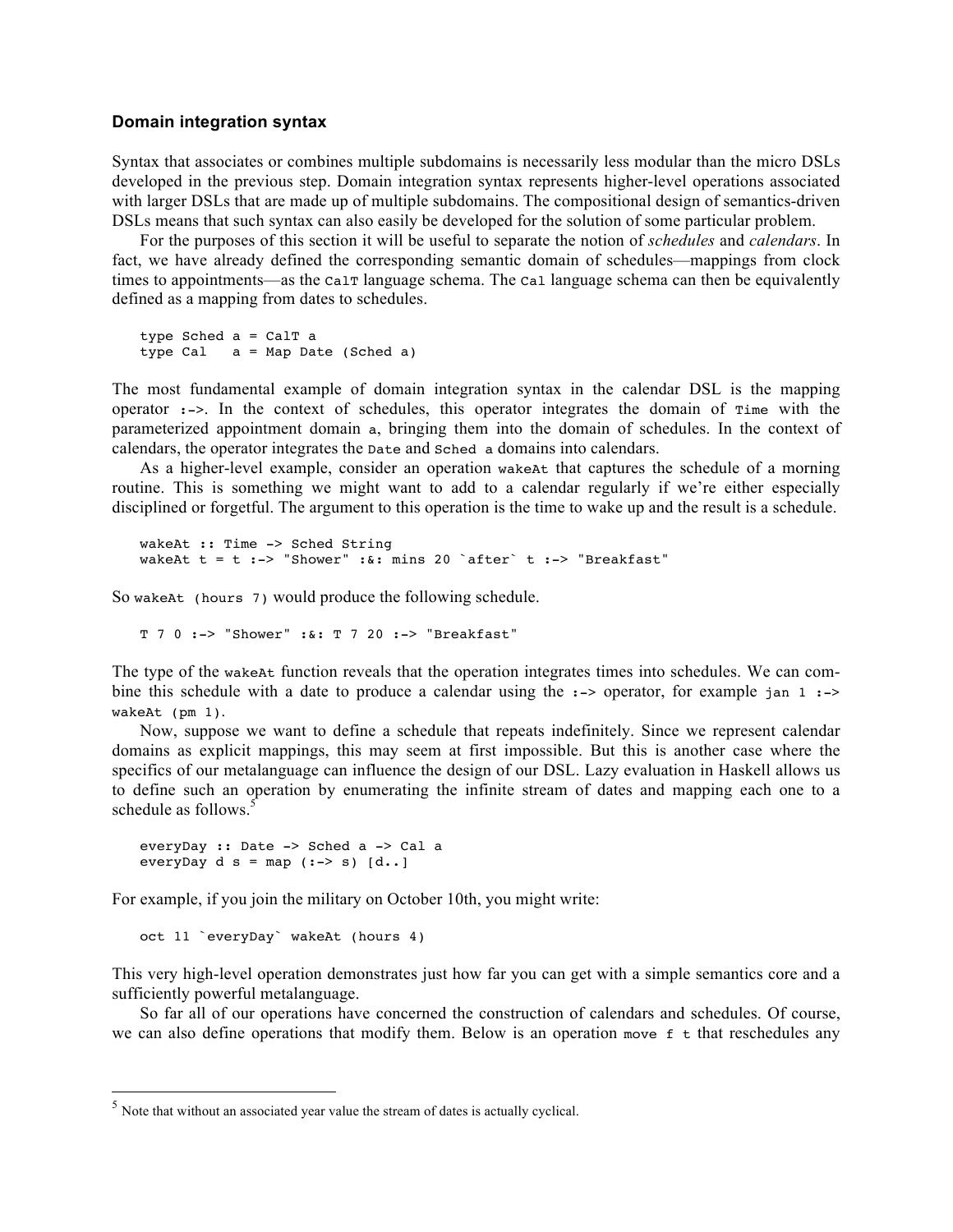#### **Domain integration syntax**

Syntax that associates or combines multiple subdomains is necessarily less modular than the micro DSLs developed in the previous step. Domain integration syntax represents higher-level operations associated with larger DSLs that are made up of multiple subdomains. The compositional design of semantics-driven DSLs means that such syntax can also easily be developed for the solution of some particular problem.

For the purposes of this section it will be useful to separate the notion of *schedules* and *calendars*. In fact, we have already defined the corresponding semantic domain of schedules—mappings from clock times to appointments—as the calT language schema. The cal language schema can then be equivalently defined as a mapping from dates to schedules.

```
type Sched a = CalT a
type Cal a = Map Date (Sched a)
```
The most fundamental example of domain integration syntax in the calendar DSL is the mapping operator  $:->$ . In the context of schedules, this operator integrates the domain of  $\tau$ ime with the parameterized appointment domain a, bringing them into the domain of schedules. In the context of calendars, the operator integrates the Date and Sched a domains into calendars.

As a higher-level example, consider an operation wakeAt that captures the schedule of a morning routine. This is something we might want to add to a calendar regularly if we're either especially disciplined or forgetful. The argument to this operation is the time to wake up and the result is a schedule.

```
wakeAt :: Time -> Sched String
wakeAt t = t :-> "Shower" :&: mins 20 `after` t :-> "Breakfast"
```
So wakeAt (hours 7) would produce the following schedule.

```
T 7 0 :-> "Shower" :&: T 7 20 :-> "Breakfast"
```
The type of the wakeAt function reveals that the operation integrates times into schedules. We can combine this schedule with a date to produce a calendar using the  $\cdot$ -> operator, for example jan 1  $\cdot$ -> wakeAt (pm 1).

Now, suppose we want to define a schedule that repeats indefinitely. Since we represent calendar domains as explicit mappings, this may seem at first impossible. But this is another case where the specifics of our metalanguage can influence the design of our DSL. Lazy evaluation in Haskell allows us to define such an operation by enumerating the infinite stream of dates and mapping each one to a schedule as follows.<sup>5</sup>

```
everyDay :: Date -> Sched a -> Cal a
everyDay d s = map (:-> s) [d..]
```
For example, if you join the military on October 10th, you might write:

oct 11 `everyDay` wakeAt (hours 4)

This very high-level operation demonstrates just how far you can get with a simple semantics core and a sufficiently powerful metalanguage.

So far all of our operations have concerned the construction of calendars and schedules. Of course, we can also define operations that modify them. Below is an operation move  $f$  t that reschedules any

 $<sup>5</sup>$  Note that without an associated year value the stream of dates is actually cyclical.</sup>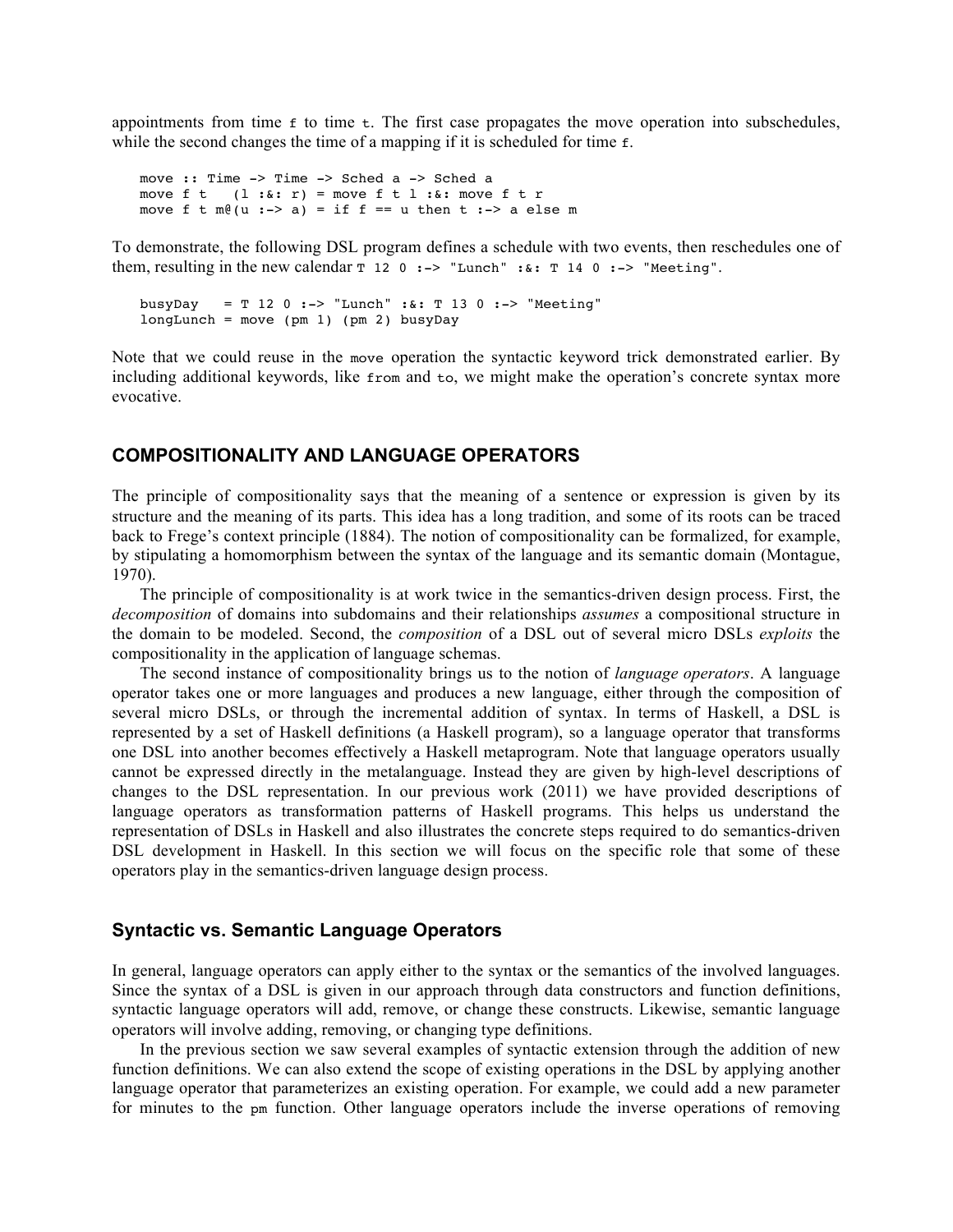appointments from time  $f$  to time  $f$ . The first case propagates the move operation into subschedules, while the second changes the time of a mapping if it is scheduled for time f.

move :: Time -> Time -> Sched a -> Sched a move  $f \t l \t i^* \t i^* = m$ ove  $f \t l \t i^* \t i^*$  move  $f \t r$ move f t  $m\theta(u \div a) = if f == u$  then t :-> a else m

To demonstrate, the following DSL program defines a schedule with two events, then reschedules one of them, resulting in the new calendar  $\tau$  12 0 :-> "Lunch" :  $\&$  :  $T$  14 0 :-> "Meeting".

busyDay = T 12 0 :-> "Lunch" :  $\&$  : T 13 0 :-> "Meeting"  $longLunch = move (pm 1) (pm 2) busyDay$ 

Note that we could reuse in the move operation the syntactic keyword trick demonstrated earlier. By including additional keywords, like from and to, we might make the operation's concrete syntax more evocative.

## **COMPOSITIONALITY AND LANGUAGE OPERATORS**

The principle of compositionality says that the meaning of a sentence or expression is given by its structure and the meaning of its parts. This idea has a long tradition, and some of its roots can be traced back to Frege's context principle (1884). The notion of compositionality can be formalized, for example, by stipulating a homomorphism between the syntax of the language and its semantic domain (Montague, 1970).

The principle of compositionality is at work twice in the semantics-driven design process. First, the *decomposition* of domains into subdomains and their relationships *assumes* a compositional structure in the domain to be modeled. Second, the *composition* of a DSL out of several micro DSLs *exploits* the compositionality in the application of language schemas.

The second instance of compositionality brings us to the notion of *language operators*. A language operator takes one or more languages and produces a new language, either through the composition of several micro DSLs, or through the incremental addition of syntax. In terms of Haskell, a DSL is represented by a set of Haskell definitions (a Haskell program), so a language operator that transforms one DSL into another becomes effectively a Haskell metaprogram. Note that language operators usually cannot be expressed directly in the metalanguage. Instead they are given by high-level descriptions of changes to the DSL representation. In our previous work (2011) we have provided descriptions of language operators as transformation patterns of Haskell programs. This helps us understand the representation of DSLs in Haskell and also illustrates the concrete steps required to do semantics-driven DSL development in Haskell. In this section we will focus on the specific role that some of these operators play in the semantics-driven language design process.

#### **Syntactic vs. Semantic Language Operators**

In general, language operators can apply either to the syntax or the semantics of the involved languages. Since the syntax of a DSL is given in our approach through data constructors and function definitions, syntactic language operators will add, remove, or change these constructs. Likewise, semantic language operators will involve adding, removing, or changing type definitions.

In the previous section we saw several examples of syntactic extension through the addition of new function definitions. We can also extend the scope of existing operations in the DSL by applying another language operator that parameterizes an existing operation. For example, we could add a new parameter for minutes to the pm function. Other language operators include the inverse operations of removing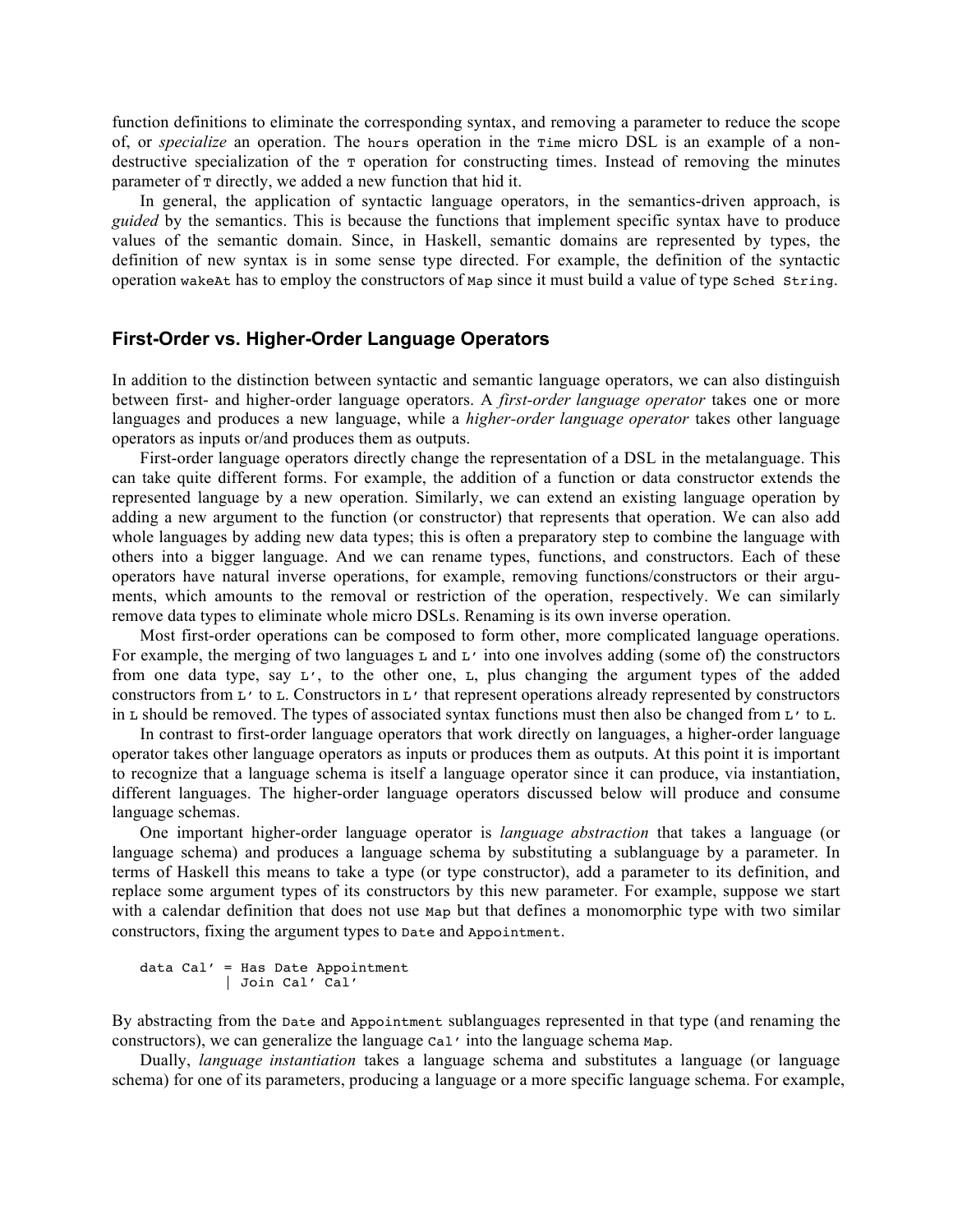function definitions to eliminate the corresponding syntax, and removing a parameter to reduce the scope of, or *specialize* an operation. The hours operation in the Time micro DSL is an example of a nondestructive specialization of the  $\tau$  operation for constructing times. Instead of removing the minutes parameter of  $\tau$  directly, we added a new function that hid it.

In general, the application of syntactic language operators, in the semantics-driven approach, is *guided* by the semantics. This is because the functions that implement specific syntax have to produce values of the semantic domain. Since, in Haskell, semantic domains are represented by types, the definition of new syntax is in some sense type directed. For example, the definition of the syntactic operation wakeAt has to employ the constructors of Map since it must build a value of type Sched String.

## **First-Order vs. Higher-Order Language Operators**

In addition to the distinction between syntactic and semantic language operators, we can also distinguish between first- and higher-order language operators. A *first-order language operator* takes one or more languages and produces a new language, while a *higher-order language operator* takes other language operators as inputs or/and produces them as outputs.

First-order language operators directly change the representation of a DSL in the metalanguage. This can take quite different forms. For example, the addition of a function or data constructor extends the represented language by a new operation. Similarly, we can extend an existing language operation by adding a new argument to the function (or constructor) that represents that operation. We can also add whole languages by adding new data types; this is often a preparatory step to combine the language with others into a bigger language. And we can rename types, functions, and constructors. Each of these operators have natural inverse operations, for example, removing functions/constructors or their arguments, which amounts to the removal or restriction of the operation, respectively. We can similarly remove data types to eliminate whole micro DSLs. Renaming is its own inverse operation.

Most first-order operations can be composed to form other, more complicated language operations. For example, the merging of two languages  $\text{L}$  and  $\text{L}'$  into one involves adding (some of) the constructors from one data type, say L', to the other one, L, plus changing the argument types of the added constructors from L' to L. Constructors in L' that represent operations already represented by constructors in L should be removed. The types of associated syntax functions must then also be changed from  $L'$  to L.

In contrast to first-order language operators that work directly on languages, a higher-order language operator takes other language operators as inputs or produces them as outputs. At this point it is important to recognize that a language schema is itself a language operator since it can produce, via instantiation, different languages. The higher-order language operators discussed below will produce and consume language schemas.

One important higher-order language operator is *language abstraction* that takes a language (or language schema) and produces a language schema by substituting a sublanguage by a parameter. In terms of Haskell this means to take a type (or type constructor), add a parameter to its definition, and replace some argument types of its constructors by this new parameter. For example, suppose we start with a calendar definition that does not use Map but that defines a monomorphic type with two similar constructors, fixing the argument types to Date and Appointment.

```
data Cal' = Has Date Appointment
           | Join Cal' Cal'
```
By abstracting from the Date and Appointment sublanguages represented in that type (and renaming the constructors), we can generalize the language Cal' into the language schema Map.

Dually, *language instantiation* takes a language schema and substitutes a language (or language schema) for one of its parameters, producing a language or a more specific language schema. For example,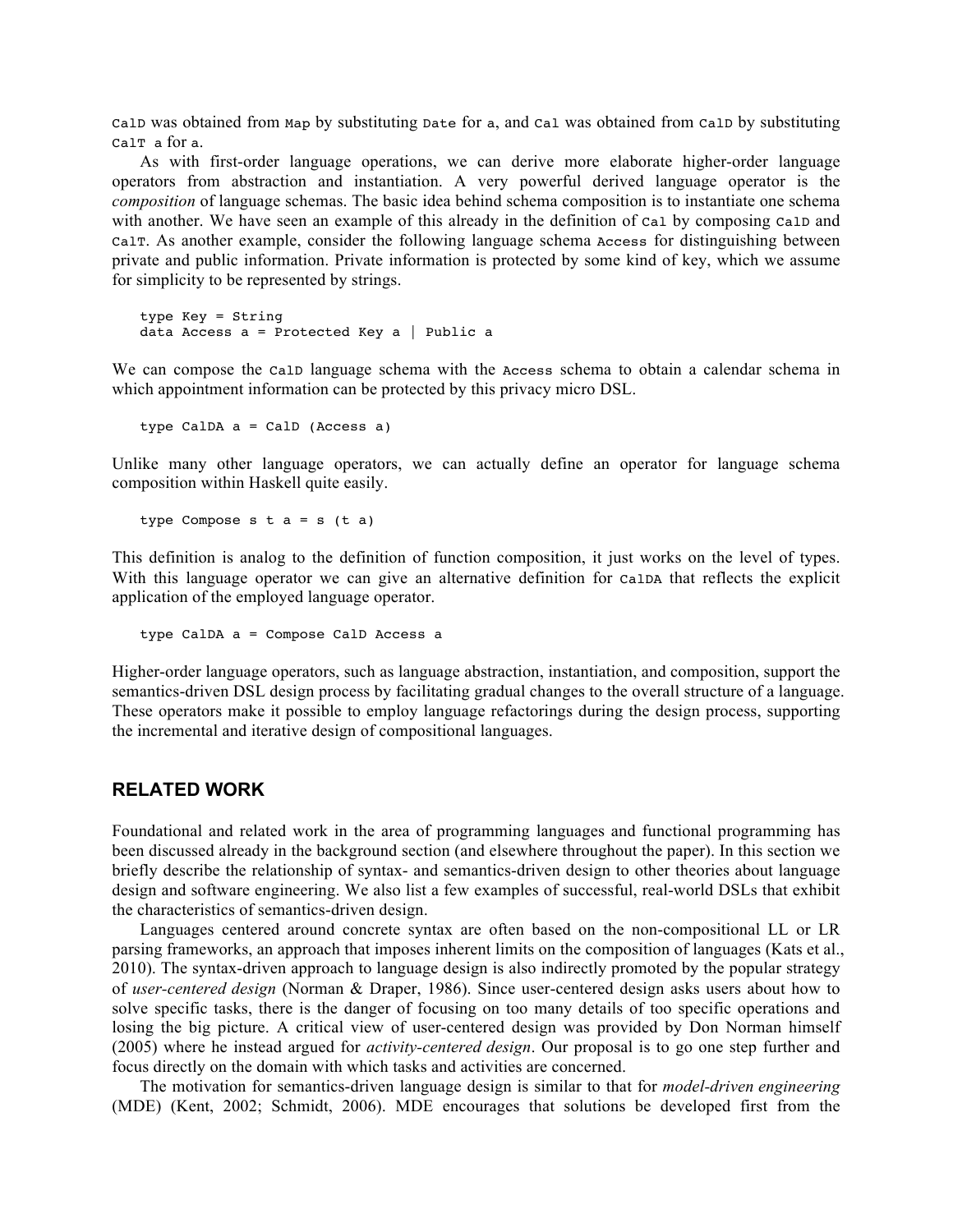CalD was obtained from Map by substituting Date for a, and Cal was obtained from CalD by substituting CalT a for a.

As with first-order language operations, we can derive more elaborate higher-order language operators from abstraction and instantiation. A very powerful derived language operator is the *composition* of language schemas. The basic idea behind schema composition is to instantiate one schema with another. We have seen an example of this already in the definition of cal by composing calp and CalT. As another example, consider the following language schema Access for distinguishing between private and public information. Private information is protected by some kind of key, which we assume for simplicity to be represented by strings.

```
type Key = String
data Access a = Protected Key a \mid Public a
```
We can compose the calp language schema with the Access schema to obtain a calendar schema in which appointment information can be protected by this privacy micro DSL.

type CalDA a = CalD (Access a)

Unlike many other language operators, we can actually define an operator for language schema composition within Haskell quite easily.

type Compose  $s$   $t$   $a = s$   $(t a)$ 

This definition is analog to the definition of function composition, it just works on the level of types. With this language operator we can give an alternative definition for calDA that reflects the explicit application of the employed language operator.

```
type CalDA a = Compose CalD Access a
```
Higher-order language operators, such as language abstraction, instantiation, and composition, support the semantics-driven DSL design process by facilitating gradual changes to the overall structure of a language. These operators make it possible to employ language refactorings during the design process, supporting the incremental and iterative design of compositional languages.

# **RELATED WORK**

Foundational and related work in the area of programming languages and functional programming has been discussed already in the background section (and elsewhere throughout the paper). In this section we briefly describe the relationship of syntax- and semantics-driven design to other theories about language design and software engineering. We also list a few examples of successful, real-world DSLs that exhibit the characteristics of semantics-driven design.

Languages centered around concrete syntax are often based on the non-compositional LL or LR parsing frameworks, an approach that imposes inherent limits on the composition of languages (Kats et al., 2010). The syntax-driven approach to language design is also indirectly promoted by the popular strategy of *user-centered design* (Norman & Draper, 1986). Since user-centered design asks users about how to solve specific tasks, there is the danger of focusing on too many details of too specific operations and losing the big picture. A critical view of user-centered design was provided by Don Norman himself (2005) where he instead argued for *activity-centered design*. Our proposal is to go one step further and focus directly on the domain with which tasks and activities are concerned.

The motivation for semantics-driven language design is similar to that for *model-driven engineering* (MDE) (Kent, 2002; Schmidt, 2006). MDE encourages that solutions be developed first from the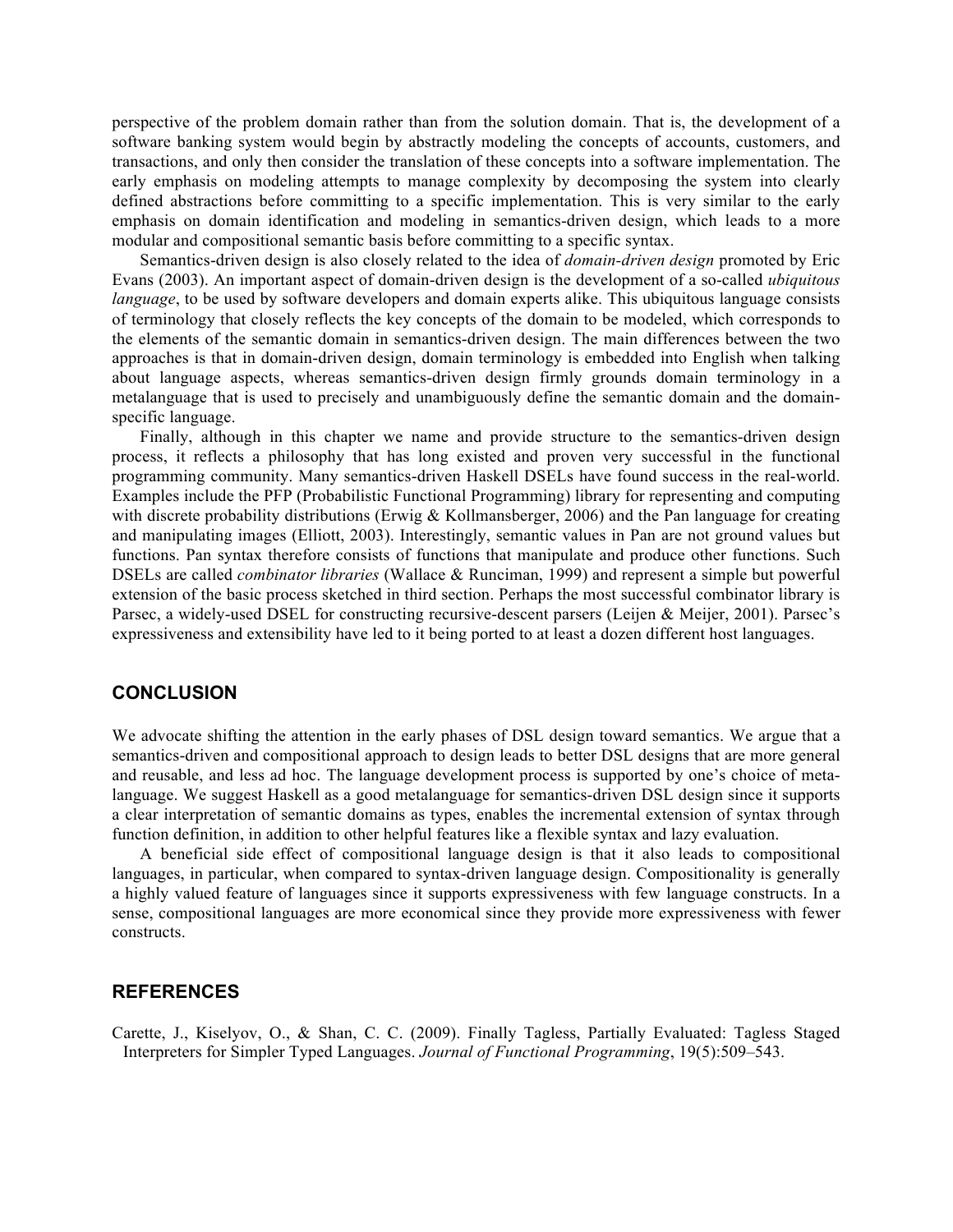perspective of the problem domain rather than from the solution domain. That is, the development of a software banking system would begin by abstractly modeling the concepts of accounts, customers, and transactions, and only then consider the translation of these concepts into a software implementation. The early emphasis on modeling attempts to manage complexity by decomposing the system into clearly defined abstractions before committing to a specific implementation. This is very similar to the early emphasis on domain identification and modeling in semantics-driven design, which leads to a more modular and compositional semantic basis before committing to a specific syntax.

Semantics-driven design is also closely related to the idea of *domain-driven design* promoted by Eric Evans (2003). An important aspect of domain-driven design is the development of a so-called *ubiquitous language*, to be used by software developers and domain experts alike. This ubiquitous language consists of terminology that closely reflects the key concepts of the domain to be modeled, which corresponds to the elements of the semantic domain in semantics-driven design. The main differences between the two approaches is that in domain-driven design, domain terminology is embedded into English when talking about language aspects, whereas semantics-driven design firmly grounds domain terminology in a metalanguage that is used to precisely and unambiguously define the semantic domain and the domainspecific language.

Finally, although in this chapter we name and provide structure to the semantics-driven design process, it reflects a philosophy that has long existed and proven very successful in the functional programming community. Many semantics-driven Haskell DSELs have found success in the real-world. Examples include the PFP (Probabilistic Functional Programming) library for representing and computing with discrete probability distributions (Erwig & Kollmansberger, 2006) and the Pan language for creating and manipulating images (Elliott, 2003). Interestingly, semantic values in Pan are not ground values but functions. Pan syntax therefore consists of functions that manipulate and produce other functions. Such DSELs are called *combinator libraries* (Wallace & Runciman, 1999) and represent a simple but powerful extension of the basic process sketched in third section. Perhaps the most successful combinator library is Parsec, a widely-used DSEL for constructing recursive-descent parsers (Leijen & Meijer, 2001). Parsec's expressiveness and extensibility have led to it being ported to at least a dozen different host languages.

# **CONCLUSION**

We advocate shifting the attention in the early phases of DSL design toward semantics. We argue that a semantics-driven and compositional approach to design leads to better DSL designs that are more general and reusable, and less ad hoc. The language development process is supported by one's choice of metalanguage. We suggest Haskell as a good metalanguage for semantics-driven DSL design since it supports a clear interpretation of semantic domains as types, enables the incremental extension of syntax through function definition, in addition to other helpful features like a flexible syntax and lazy evaluation.

A beneficial side effect of compositional language design is that it also leads to compositional languages, in particular, when compared to syntax-driven language design. Compositionality is generally a highly valued feature of languages since it supports expressiveness with few language constructs. In a sense, compositional languages are more economical since they provide more expressiveness with fewer constructs.

# **REFERENCES**

Carette, J., Kiselyov, O., & Shan, C. C. (2009). Finally Tagless, Partially Evaluated: Tagless Staged Interpreters for Simpler Typed Languages. *Journal of Functional Programming*, 19(5):509–543.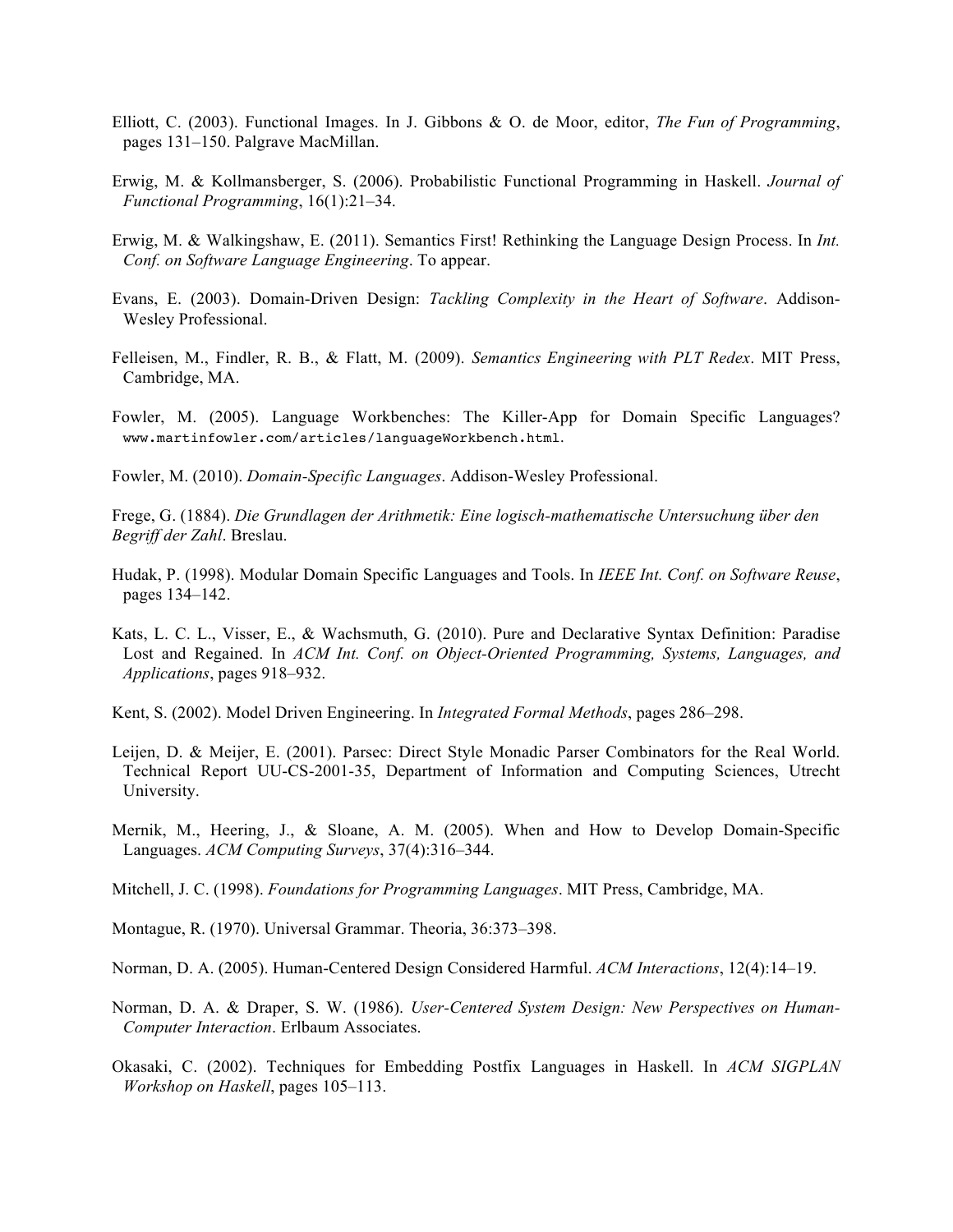- Elliott, C. (2003). Functional Images. In J. Gibbons & O. de Moor, editor, *The Fun of Programming*, pages 131–150. Palgrave MacMillan.
- Erwig, M. & Kollmansberger, S. (2006). Probabilistic Functional Programming in Haskell. *Journal of Functional Programming*, 16(1):21–34.
- Erwig, M. & Walkingshaw, E. (2011). Semantics First! Rethinking the Language Design Process. In *Int. Conf. on Software Language Engineering*. To appear.
- Evans, E. (2003). Domain-Driven Design: *Tackling Complexity in the Heart of Software*. Addison-Wesley Professional.
- Felleisen, M., Findler, R. B., & Flatt, M. (2009). *Semantics Engineering with PLT Redex*. MIT Press, Cambridge, MA.
- Fowler, M. (2005). Language Workbenches: The Killer-App for Domain Specific Languages? www.martinfowler.com/articles/languageWorkbench.html.

Fowler, M. (2010). *Domain-Specific Languages*. Addison-Wesley Professional.

Frege, G. (1884). *Die Grundlagen der Arithmetik: Eine logisch-mathematische Untersuchung über den Begriff der Zahl*. Breslau.

- Hudak, P. (1998). Modular Domain Specific Languages and Tools. In *IEEE Int. Conf. on Software Reuse*, pages 134–142.
- Kats, L. C. L., Visser, E., & Wachsmuth, G. (2010). Pure and Declarative Syntax Definition: Paradise Lost and Regained. In *ACM Int. Conf. on Object-Oriented Programming, Systems, Languages, and Applications*, pages 918–932.
- Kent, S. (2002). Model Driven Engineering. In *Integrated Formal Methods*, pages 286–298.
- Leijen, D. & Meijer, E. (2001). Parsec: Direct Style Monadic Parser Combinators for the Real World. Technical Report UU-CS-2001-35, Department of Information and Computing Sciences, Utrecht University.
- Mernik, M., Heering, J., & Sloane, A. M. (2005). When and How to Develop Domain-Specific Languages. *ACM Computing Surveys*, 37(4):316–344.
- Mitchell, J. C. (1998). *Foundations for Programming Languages*. MIT Press, Cambridge, MA.
- Montague, R. (1970). Universal Grammar. Theoria, 36:373–398.
- Norman, D. A. (2005). Human-Centered Design Considered Harmful. *ACM Interactions*, 12(4):14–19.
- Norman, D. A. & Draper, S. W. (1986). *User-Centered System Design: New Perspectives on Human-Computer Interaction*. Erlbaum Associates.
- Okasaki, C. (2002). Techniques for Embedding Postfix Languages in Haskell. In *ACM SIGPLAN Workshop on Haskell*, pages 105–113.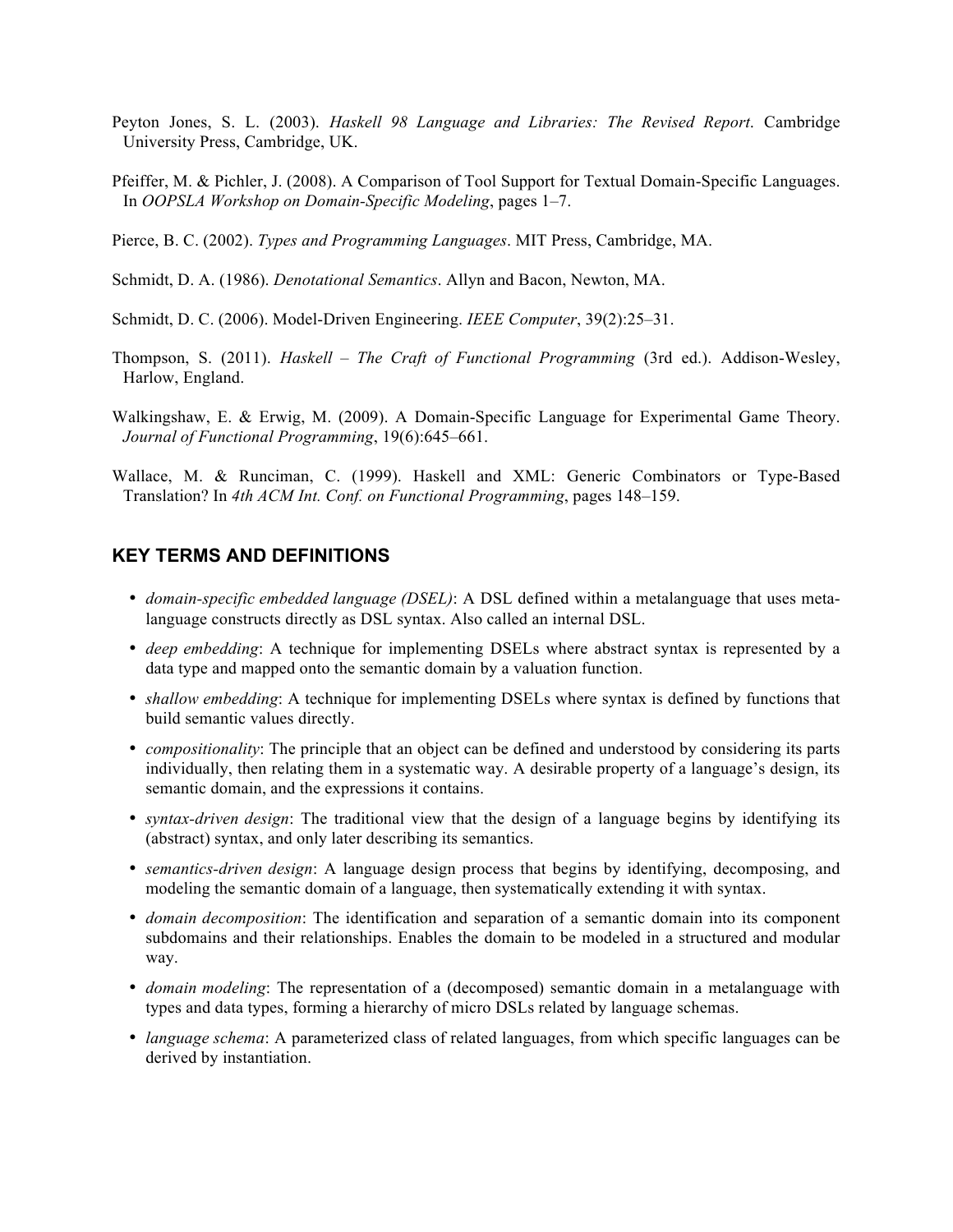- Peyton Jones, S. L. (2003). *Haskell 98 Language and Libraries: The Revised Report*. Cambridge University Press, Cambridge, UK.
- Pfeiffer, M. & Pichler, J. (2008). A Comparison of Tool Support for Textual Domain-Specific Languages. In *OOPSLA Workshop on Domain-Specific Modeling*, pages 1–7.

Pierce, B. C. (2002). *Types and Programming Languages*. MIT Press, Cambridge, MA.

Schmidt, D. A. (1986). *Denotational Semantics*. Allyn and Bacon, Newton, MA.

Schmidt, D. C. (2006). Model-Driven Engineering. *IEEE Computer*, 39(2):25–31.

- Thompson, S. (2011). *Haskell – The Craft of Functional Programming* (3rd ed.). Addison-Wesley, Harlow, England.
- Walkingshaw, E. & Erwig, M. (2009). A Domain-Specific Language for Experimental Game Theory. *Journal of Functional Programming*, 19(6):645–661.
- Wallace, M. & Runciman, C. (1999). Haskell and XML: Generic Combinators or Type-Based Translation? In *4th ACM Int. Conf. on Functional Programming*, pages 148–159.

# **KEY TERMS AND DEFINITIONS**

- *domain-specific embedded language (DSEL)*: A DSL defined within a metalanguage that uses metalanguage constructs directly as DSL syntax. Also called an internal DSL.
- *deep embedding*: A technique for implementing DSELs where abstract syntax is represented by a data type and mapped onto the semantic domain by a valuation function.
- *shallow embedding*: A technique for implementing DSELs where syntax is defined by functions that build semantic values directly.
- *compositionality*: The principle that an object can be defined and understood by considering its parts individually, then relating them in a systematic way. A desirable property of a language's design, its semantic domain, and the expressions it contains.
- *syntax-driven design*: The traditional view that the design of a language begins by identifying its (abstract) syntax, and only later describing its semantics.
- *semantics-driven design*: A language design process that begins by identifying, decomposing, and modeling the semantic domain of a language, then systematically extending it with syntax.
- *domain decomposition*: The identification and separation of a semantic domain into its component subdomains and their relationships. Enables the domain to be modeled in a structured and modular way.
- *domain modeling*: The representation of a (decomposed) semantic domain in a metalanguage with types and data types, forming a hierarchy of micro DSLs related by language schemas.
- *language schema*: A parameterized class of related languages, from which specific languages can be derived by instantiation.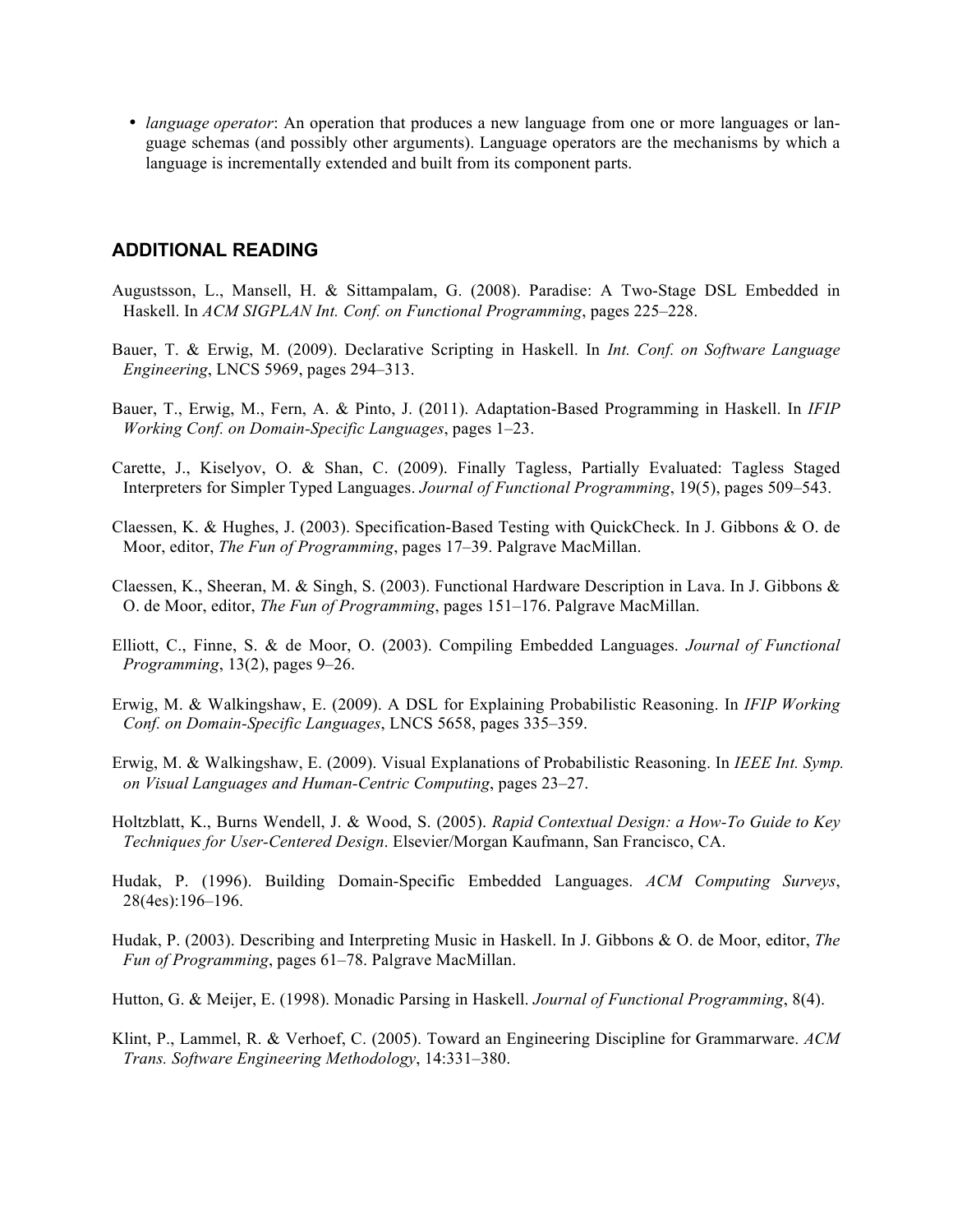• *language operator*: An operation that produces a new language from one or more languages or language schemas (and possibly other arguments). Language operators are the mechanisms by which a language is incrementally extended and built from its component parts.

# **ADDITIONAL READING**

- Augustsson, L., Mansell, H. & Sittampalam, G. (2008). Paradise: A Two-Stage DSL Embedded in Haskell. In *ACM SIGPLAN Int. Conf. on Functional Programming*, pages 225–228.
- Bauer, T. & Erwig, M. (2009). Declarative Scripting in Haskell. In *Int. Conf. on Software Language Engineering*, LNCS 5969, pages 294–313.
- Bauer, T., Erwig, M., Fern, A. & Pinto, J. (2011). Adaptation-Based Programming in Haskell. In *IFIP Working Conf. on Domain-Specific Languages*, pages 1–23.
- Carette, J., Kiselyov, O. & Shan, C. (2009). Finally Tagless, Partially Evaluated: Tagless Staged Interpreters for Simpler Typed Languages. *Journal of Functional Programming*, 19(5), pages 509–543.
- Claessen, K. & Hughes, J. (2003). Specification-Based Testing with QuickCheck. In J. Gibbons & O. de Moor, editor, *The Fun of Programming*, pages 17–39. Palgrave MacMillan.
- Claessen, K., Sheeran, M. & Singh, S. (2003). Functional Hardware Description in Lava. In J. Gibbons & O. de Moor, editor, *The Fun of Programming*, pages 151–176. Palgrave MacMillan.
- Elliott, C., Finne, S. & de Moor, O. (2003). Compiling Embedded Languages. *Journal of Functional Programming*, 13(2), pages 9–26.
- Erwig, M. & Walkingshaw, E. (2009). A DSL for Explaining Probabilistic Reasoning. In *IFIP Working Conf. on Domain-Specific Languages*, LNCS 5658, pages 335–359.
- Erwig, M. & Walkingshaw, E. (2009). Visual Explanations of Probabilistic Reasoning. In *IEEE Int. Symp. on Visual Languages and Human-Centric Computing*, pages 23–27.
- Holtzblatt, K., Burns Wendell, J. & Wood, S. (2005). *Rapid Contextual Design: a How-To Guide to Key Techniques for User-Centered Design*. Elsevier/Morgan Kaufmann, San Francisco, CA.
- Hudak, P. (1996). Building Domain-Specific Embedded Languages. *ACM Computing Surveys*, 28(4es):196–196.
- Hudak, P. (2003). Describing and Interpreting Music in Haskell. In J. Gibbons & O. de Moor, editor, *The Fun of Programming*, pages 61–78. Palgrave MacMillan.
- Hutton, G. & Meijer, E. (1998). Monadic Parsing in Haskell. *Journal of Functional Programming*, 8(4).
- Klint, P., Lammel, R. & Verhoef, C. (2005). Toward an Engineering Discipline for Grammarware. *ACM Trans. Software Engineering Methodology*, 14:331–380.